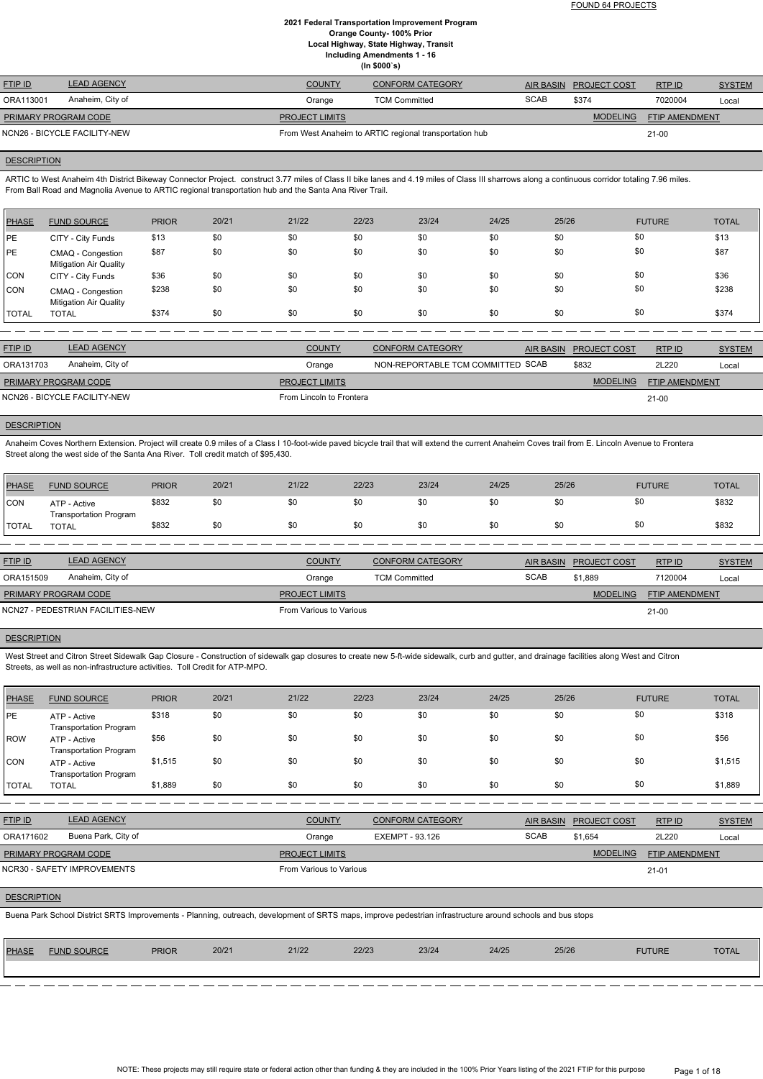FOUND 64 PROJECTS

# **2021 Federal Transportation Improvement Program Orange County- 100% Prior Local Highway, State Highway, Transit Including Amendments 1 - 16**

**(In \$000`s)**

| <b>FTIP ID</b>               | <b>LEAD AGENCY</b>          | <b>COUNTY</b> | CONFORM CATEGORY                                       |             | AIR BASIN PROJECT COST | RTP ID                | <b>SYSTEM</b> |
|------------------------------|-----------------------------|---------------|--------------------------------------------------------|-------------|------------------------|-----------------------|---------------|
| ORA113001                    | Anaheim, City of            | Orange        | <b>TCM Committed</b>                                   | <b>SCAB</b> | \$374                  | 7020004               | Local         |
|                              | <b>PRIMARY PROGRAM CODE</b> |               |                                                        |             | <b>MODELING</b>        | <b>FTIP AMENDMENT</b> |               |
| NCN26 - BICYCLE FACILITY-NEW |                             |               | From West Anaheim to ARTIC regional transportation hub |             | $21 - 00$              |                       |               |

# **DESCRIPTION**

ARTIC to West Anaheim 4th District Bikeway Connector Project. construct 3.77 miles of Class II bike lanes and 4.19 miles of Class III sharrows along a continuous corridor totaling 7.96 miles. From Ball Road and Magnolia Avenue to ARTIC regional transportation hub and the Santa Ana River Trail.

Anaheim Coves Northern Extension. Project will create 0.9 miles of a Class I 10-foot-wide paved bicycle trail that will extend the current Anaheim Coves trail from E. Lincoln Avenue to Frontera Street along the west side of the Santa Ana River. Toll credit match of \$95,430.

| <b>PHASE</b> | <b>FUND SOURCE</b>                                 | <b>PRIOR</b> | 20/21 | 21/22 | 22/23 | 23/24 | 24/25 | 25/26 | <b>FUTURE</b> | <b>TOTAL</b> |
|--------------|----------------------------------------------------|--------------|-------|-------|-------|-------|-------|-------|---------------|--------------|
| <b>IPE</b>   | CITY - City Funds                                  | \$13         | \$0   | \$0   | \$0   | \$0   | \$0   | \$0   | \$0           | \$13         |
| <b>PE</b>    | CMAQ - Congestion<br><b>Mitigation Air Quality</b> | \$87         | \$0   | \$0   | \$0   | \$0   | \$0   | \$0   | \$0           | \$87         |
| <b>CON</b>   | CITY - City Funds                                  | \$36         | \$0   | \$0   | \$0   | \$0   | \$0   | \$0   | \$0           | \$36         |
| <b>CON</b>   | CMAQ - Congestion<br><b>Mitigation Air Quality</b> | \$238        | \$0   | \$0   | \$0   | \$0   | \$0   | \$0   | \$0           | \$238        |
| <b>TOTAL</b> | <b>TOTAL</b>                                       | \$374        | \$0   | \$0   | \$0   | \$0   | \$0   | \$0   | \$0           | \$374        |

| <b>FTIP ID</b>              | <b>LEAD AGENCY</b>           | <b>COUNTY</b>            | <b>CONFORM CATEGORY</b>           | AIR BASIN PROJECT COST | RTPID                 | <b>SYSTEM</b> |
|-----------------------------|------------------------------|--------------------------|-----------------------------------|------------------------|-----------------------|---------------|
| ORA131703                   | Anaheim, City of             | Orange                   | NON-REPORTABLE TCM COMMITTED SCAB | \$832                  | 2L220                 | Local         |
| <b>PRIMARY PROGRAM CODE</b> |                              | <b>PROJECT LIMITS</b>    |                                   | <b>MODELING</b>        | <b>FTIP AMENDMENT</b> |               |
|                             | NCN26 - BICYCLE FACILITY-NEW | From Lincoln to Frontera |                                   |                        | $21-00$               |               |

# **DESCRIPTION**

| <b>PHASE</b>   | <b>FUND SOURCE</b>                            | <b>PRIOR</b> | 20/21 | 21/22                   | 22/23                | 23/24                   | 24/25 | 25/26            |                     | <b>FUTURE</b>         | <b>TOTAL</b>  |
|----------------|-----------------------------------------------|--------------|-------|-------------------------|----------------------|-------------------------|-------|------------------|---------------------|-----------------------|---------------|
| ICON           | ATP - Active                                  | \$832        | \$0   | \$0                     | \$0                  | \$0                     | \$0   | \$0              | \$0                 |                       | \$832         |
| <b>I</b> TOTAL | <b>Transportation Program</b><br><b>TOTAL</b> | \$832        | \$0   | \$0                     | \$0                  | \$0                     | \$0   | \$0              | \$0                 |                       | \$832         |
|                |                                               |              |       |                         |                      |                         |       |                  |                     |                       |               |
| <b>FTIP ID</b> | <b>LEAD AGENCY</b>                            |              |       | <b>COUNTY</b>           |                      | <b>CONFORM CATEGORY</b> |       | <b>AIR BASIN</b> | <b>PROJECT COST</b> | RTP ID                | <b>SYSTEM</b> |
| ORA151509      | Anaheim, City of                              |              |       | Orange                  | <b>TCM Committed</b> |                         |       | <b>SCAB</b>      | \$1,889             | 7120004               | Local         |
|                | PRIMARY PROGRAM CODE                          |              |       | <b>PROJECT LIMITS</b>   |                      |                         |       |                  | <b>MODELING</b>     | <b>FTIP AMENDMENT</b> |               |
|                | NCN27 - PEDESTRIAN FACILITIES-NEW             |              |       | From Various to Various |                      |                         |       |                  |                     | $21 - 00$             |               |

# **DESCRIPTION**

West Street and Citron Street Sidewalk Gap Closure - Construction of sidewalk gap closures to create new 5-ft-wide sidewalk, curb and gutter, and drainage facilities along West and Citron Streets, as well as non-infrastructure activities. Toll Credit for ATP-MPO.

| PHASE        | <b>FUND SOURCE</b>                            | <b>PRIOR</b> | 20/21 | 21/22 | 22/23 | 23/24 | 24/25 | 25/26 | <b>FUTURE</b> | <b>TOTAL</b> |
|--------------|-----------------------------------------------|--------------|-------|-------|-------|-------|-------|-------|---------------|--------------|
| PE           | ATP - Active<br><b>Transportation Program</b> | \$318        | \$0   | \$0   | \$0   | \$0   | \$0   | \$0   | \$0           | \$318        |
| ROW          | ATP - Active<br><b>Transportation Program</b> | \$56         | \$0   | \$0   | \$0   | \$0   | \$0   | \$0   | \$0           | \$56         |
| CON          | ATP - Active<br><b>Transportation Program</b> | \$1,515      | \$0   | \$0   | \$0   | \$0   | \$0   | \$0   | \$0           | \$1,515      |
| <b>TOTAL</b> | <b>TOTAL</b>                                  | \$1,889      | \$0   | \$0   | \$0   | \$0   | \$0   | \$0   | \$0           | \$1,889      |

| <b>FTIP ID</b>              | <b>LEAD AGENCY</b>          | <b>COUNTY</b>           | <b>CONFORM CATEGORY</b> |             | AIR BASIN PROJECT COST | RTPID                 | <b>SYSTEM</b> |
|-----------------------------|-----------------------------|-------------------------|-------------------------|-------------|------------------------|-----------------------|---------------|
| ORA171602                   | Buena Park, City of         | Orange                  | EXEMPT - 93.126         | <b>SCAB</b> | \$1,654                | 2L220                 | Local         |
| <b>PRIMARY PROGRAM CODE</b> |                             | <b>PROJECT LIMITS</b>   |                         |             | <b>MODELING</b>        | <b>FTIP AMENDMENT</b> |               |
|                             | NCR30 - SAFETY IMPROVEMENTS | From Various to Various |                         |             |                        | $21 - 01$             |               |

# **DESCRIPTION**

Buena Park School District SRTS Improvements - Planning, outreach, development of SRTS maps, improve pedestrian infrastructure around schools and bus stops

| <b>PHASE</b> | <b>FUND SOURCE</b> | <b>PRIOR</b> | 20/21 | 21/22 | 22/23 | 23/24 | 24/25 | 25/26 | <b>FUTURE</b> | TOTAL |
|--------------|--------------------|--------------|-------|-------|-------|-------|-------|-------|---------------|-------|
|              |                    |              |       |       |       |       |       |       |               |       |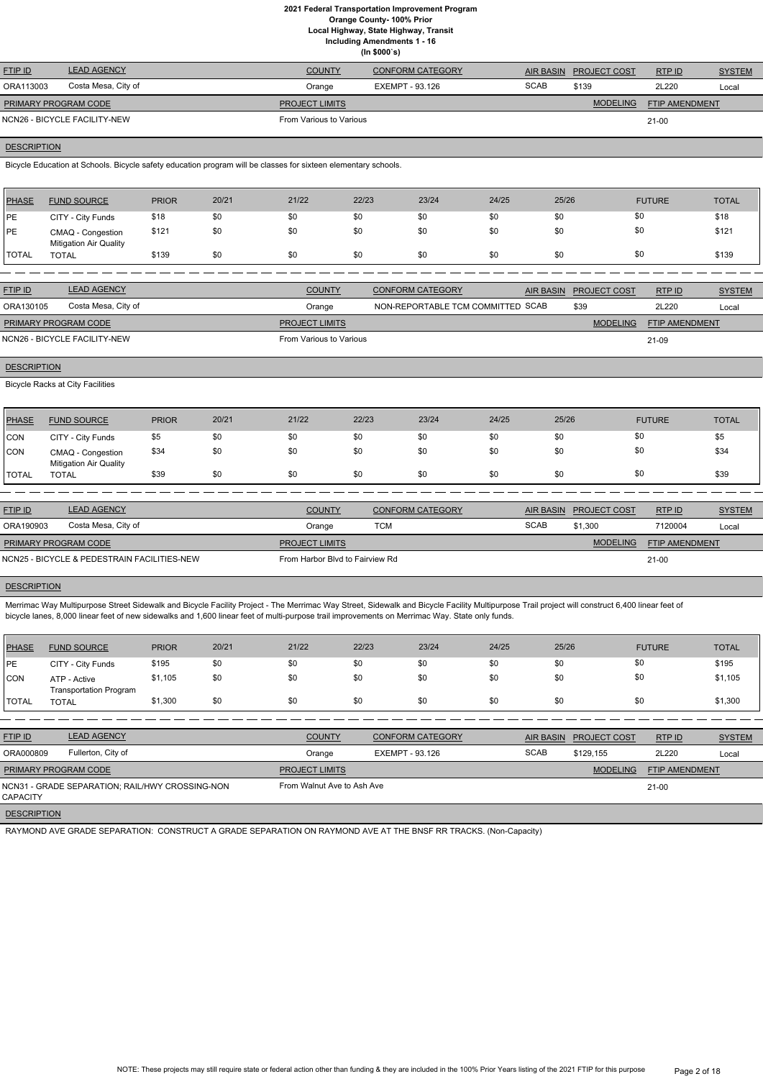**Local Highway, State Highway, Transit Including Amendments 1 - 16**

**(In \$000`s)**

| <b>FTIP ID</b>              | <b>LEAD AGENCY</b>           | <b>COUNTY</b>           | <b>CONFORM CATEGORY</b> |             | AIR BASIN PROJECT COST | RTPID                 | <b>SYSTEM</b> |
|-----------------------------|------------------------------|-------------------------|-------------------------|-------------|------------------------|-----------------------|---------------|
| ORA113003                   | Costa Mesa, City of          | Orange                  | EXEMPT - 93.126         | <b>SCAB</b> | \$139                  | 2L220                 | Local         |
| <b>PRIMARY PROGRAM CODE</b> |                              | <b>PROJECT LIMITS</b>   |                         |             | <b>MODELING</b>        | <b>FTIP AMENDMENT</b> |               |
|                             | NCN26 - BICYCLE FACILITY-NEW | From Various to Various |                         |             |                        | $21 - 00$             |               |

# **DESCRIPTION**

Bicycle Education at Schools. Bicycle safety education program will be classes for sixteen elementary schools.

| PHASE        | <b>FUND SOURCE</b>                                 | <b>PRIOR</b> | 20/21 | 21/22 | 22/23 | 23/24 | 24/25 | 25/26 | <b>FUTURE</b> | <b>TOTAL</b> |
|--------------|----------------------------------------------------|--------------|-------|-------|-------|-------|-------|-------|---------------|--------------|
| <b>IPE</b>   | CITY - City Funds                                  | \$18         | \$0   | \$0   | \$0   | \$0   | \$0   |       | \$0           | \$18         |
| <b>IPE</b>   | CMAQ - Congestion<br><b>Mitigation Air Quality</b> | \$121        | \$0   | \$0   | \$0   | \$0   | \$0   |       | \$0           | \$121        |
| <b>TOTAL</b> | <b>TOTAL</b>                                       | \$139        | \$0   | \$0   | \$0   | \$0   | \$0   | \$0   | \$0           | \$139        |

| <b>FTIP ID</b>              | <b>LEAD AGENCY</b>           | <b>COUNTY</b>           | CONFORM CATEGORY                  | AIR BASIN PROJECT COST | RTPID                 | <b>SYSTEM</b> |
|-----------------------------|------------------------------|-------------------------|-----------------------------------|------------------------|-----------------------|---------------|
| ORA130105                   | Costa Mesa, City of          | Orange                  | NON-REPORTABLE TCM COMMITTED SCAB | \$39                   | 2L220                 | Local         |
| <b>PRIMARY PROGRAM CODE</b> |                              | <b>PROJECT LIMITS</b>   |                                   | <b>MODELING</b>        | <b>FTIP AMENDMENT</b> |               |
|                             | NCN26 - BICYCLE FACILITY-NEW | From Various to Various |                                   |                        | 21-09                 |               |

# **DESCRIPTION**

Bicycle Racks at City Facilities

| <b>PHASE</b> | <b>FUND SOURCE</b>                                 | <b>PRIOR</b> | 20/21 | 21/22 | 22/23 | 23/24 | 24/25 | 25/26 | <b>FUTURE</b> | <b>TOTAL</b> |
|--------------|----------------------------------------------------|--------------|-------|-------|-------|-------|-------|-------|---------------|--------------|
| CON          | CITY - City Funds                                  | \$5          | \$0   | \$0   | \$0   | \$0   | \$0   | \$0   | \$0           | \$5          |
| CON          | CMAQ - Congestion<br><b>Mitigation Air Quality</b> | \$34         | \$0   | \$0   | \$0   | \$0   | \$0   | \$0   | \$0           | \$34         |
| <b>TOTAL</b> | TOTAL                                              | \$39         | \$0   | \$0   | \$0   | \$0   | \$0   | \$0   |               | \$39         |

| <b>FTIP ID</b>              | <b>LEAD AGENCY</b>                          | <b>COUNTY</b>                   | <b>CONFORM CATEGORY</b> | AIR BASIN   | <b>PROJECT COST</b> | RTPID                 | <b>SYSTEM</b> |
|-----------------------------|---------------------------------------------|---------------------------------|-------------------------|-------------|---------------------|-----------------------|---------------|
| ORA190903                   | Costa Mesa, City of                         | Orange                          | TCM                     | <b>SCAB</b> | \$1.300             | 7120004               | Local         |
| <b>PRIMARY PROGRAM CODE</b> |                                             | <b>PROJECT LIMITS</b>           |                         |             | <b>MODELING</b>     | <b>FTIP AMENDMENT</b> |               |
|                             | NCN25 - BICYCLE & PEDESTRAIN FACILITIES-NEW | From Harbor Blvd to Fairview Rd |                         |             |                     | 21-00                 |               |

# **DESCRIPTION**

Merrimac Way Multipurpose Street Sidewalk and Bicycle Facility Project - The Merrimac Way Street, Sidewalk and Bicycle Facility Multipurpose Trail project will construct 6,400 linear feet of bicycle lanes, 8,000 linear feet of new sidewalks and 1,600 linear feet of multi-purpose trail improvements on Merrimac Way. State only funds.

| <b>PHASE</b> | <b>FUND SOURCE</b>                            | <b>PRIOR</b> | 20/21 | 21/22 | 22/23 | 23/24 | 24/25 | 25/26 | <b>FUTURE</b> | <b>TOTAL</b> |
|--------------|-----------------------------------------------|--------------|-------|-------|-------|-------|-------|-------|---------------|--------------|
| PE           | CITY - City Funds                             | \$195        | \$0   | \$0   | \$0   | \$0   | \$0   | \$0   | \$0           | \$195        |
| CON          | ATP - Active<br><b>Transportation Program</b> | \$1,105      | \$0   | \$0   | \$0   | \$0   | \$0   | \$Ο   | \$0           | \$1,105      |
| TOTAL        | <b>TOTAL</b>                                  | \$1,300      | \$0   | \$0   | \$0   | \$0   | \$0   | \$0   | \$0           | \$1,300      |

| <b>FTIP ID</b>                                              | <b>LEAD AGENCY</b> | <b>COUNTY</b>              | <b>CONFORM CATEGORY</b> |             | AIR BASIN PROJECT COST | RTPID          | <b>SYSTEM</b> |
|-------------------------------------------------------------|--------------------|----------------------------|-------------------------|-------------|------------------------|----------------|---------------|
| ORA000809                                                   | Fullerton, City of | Orange                     | EXEMPT - 93.126         | <b>SCAB</b> | \$129.155              | 2L220          | Local         |
| <b>PRIMARY PROGRAM CODE</b>                                 |                    | <b>PROJECT LIMITS</b>      |                         |             | <b>MODELING</b>        | FTIP AMENDMENT |               |
| NCN31 - GRADE SEPARATION: RAIL/HWY CROSSING-NON<br>CAPACITY |                    | From Walnut Ave to Ash Ave |                         |             |                        | $21 - 00$      |               |
|                                                             |                    |                            |                         |             |                        |                |               |

RAYMOND AVE GRADE SEPARATION: CONSTRUCT A GRADE SEPARATION ON RAYMOND AVE AT THE BNSF RR TRACKS. (Non-Capacity)



NOTE: These projects may still require state or federal action other than funding & they are included in the 100% Prior Years listing of the 2021 FTIP for this purpose Page 2 of 18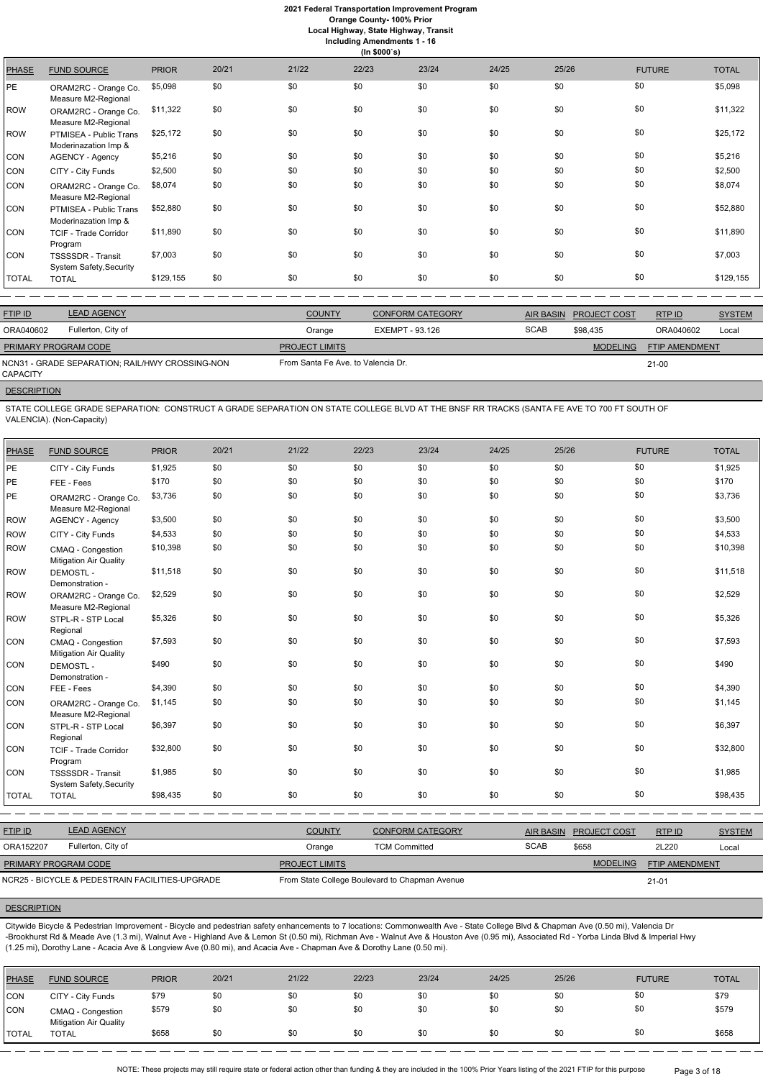**Orange County- 100% Prior**

**Local Highway, State Highway, Transit**

| <b>Including Amendments 1 - 16</b><br>(ln \$000's) |                                                |              |       |       |       |       |       |       |               |              |
|----------------------------------------------------|------------------------------------------------|--------------|-------|-------|-------|-------|-------|-------|---------------|--------------|
| <b>PHASE</b>                                       | <b>FUND SOURCE</b>                             | <b>PRIOR</b> | 20/21 | 21/22 | 22/23 | 23/24 | 24/25 | 25/26 | <b>FUTURE</b> | <b>TOTAL</b> |
| РE.                                                | ORAM2RC - Orange Co.<br>Measure M2-Regional    | \$5,098      | \$0   | \$0   | \$0   | \$0   | \$0   | \$0   | \$0           | \$5,098      |
| <b>ROW</b>                                         | ORAM2RC - Orange Co.<br>Measure M2-Regional    | \$11,322     | \$0   | \$0   | \$0   | \$0   | \$0   | \$0   | \$0           | \$11,322     |
| <b>ROW</b>                                         | PTMISEA - Public Trans<br>Moderinazation Imp & | \$25,172     | \$0   | \$0   | \$0   | \$0   | \$0   | \$0   | \$0           | \$25,172     |
| CON                                                | <b>AGENCY - Agency</b>                         | \$5,216      | \$0   | \$0   | \$0   | \$0   | \$0   | \$0   | \$0           | \$5,216      |
| CON                                                | CITY - City Funds                              | \$2,500      | \$0   | \$0   | \$0   | \$0   | \$0   | \$0   | \$0           | \$2,500      |
| CON                                                | ORAM2RC - Orange Co.<br>Measure M2-Regional    | \$8,074      | \$0   | \$0   | \$0   | \$0   | \$0   | \$0   | \$0           | \$8,074      |
| CON                                                | PTMISEA - Public Trans<br>Moderinazation Imp & | \$52,880     | \$0   | \$0   | \$0   | \$0   | \$0   | \$0   | \$0           | \$52,880     |
| CON                                                | TCIF - Trade Corridor<br>Program               | \$11,890     | \$0   | \$0   | \$0   | \$0   | \$0   | \$0   | \$0           | \$11,890     |
| CON                                                | TSSSSDR - Transit<br>System Safety, Security   | \$7,003      | \$0   | \$0   | \$0   | \$0   | \$0   | \$0   | \$0           | \$7,003      |
| TOTAL                                              | <b>TOTAL</b>                                   | \$129,155    | \$0   | \$0   | \$0   | \$0   | \$0   | \$0   | \$0           | \$129,155    |

| <b>FTIP ID</b>              | <b>LEAD AGENCY</b>                              | <b>COUNTY</b>                      | <b>CONFORM CATEGORY</b> | AIR BASIN   | <b>PROJECT COST</b> | RTPID                 | <b>SYSTEM</b> |
|-----------------------------|-------------------------------------------------|------------------------------------|-------------------------|-------------|---------------------|-----------------------|---------------|
| ORA040602                   | Fullerton, City of                              | Orange                             | EXEMPT - 93.126         | <b>SCAB</b> | \$98.435            | ORA040602             | Local         |
| <b>PRIMARY PROGRAM CODE</b> |                                                 | <b>PROJECT LIMITS</b>              |                         |             | <b>MODELING</b>     | <b>FTIP AMENDMENT</b> |               |
| CAPACITY                    | NCN31 - GRADE SEPARATION: RAIL/HWY CROSSING-NON | From Santa Fe Ave. to Valencia Dr. |                         |             |                     | 21-00                 |               |

# **DESCRIPTION**

STATE COLLEGE GRADE SEPARATION: CONSTRUCT A GRADE SEPARATION ON STATE COLLEGE BLVD AT THE BNSF RR TRACKS (SANTA FE AVE TO 700 FT SOUTH OF VALENCIA). (Non-Capacity)

| <b>PHASE</b> | <b>FUND SOURCE</b>                                  | <b>PRIOR</b> | 20/21 | 21/22 | 22/23 | 23/24 | 24/25 | 25/26 | <b>FUTURE</b> | <b>TOTAL</b> |
|--------------|-----------------------------------------------------|--------------|-------|-------|-------|-------|-------|-------|---------------|--------------|
| PE           | CITY - City Funds                                   | \$1,925      | \$0   | \$0   | \$0   | \$0   | \$0   | \$0   | \$0           | \$1,925      |
| PE           | FEE - Fees                                          | \$170        | \$0   | \$0   | \$0   | \$0   | \$0   | \$0   | \$0           | \$170        |
| PE           | ORAM2RC - Orange Co.<br>Measure M2-Regional         | \$3,736      | \$0   | \$0   | \$0   | \$0   | \$0   | \$0   | \$0           | \$3,736      |
| <b>ROW</b>   | <b>AGENCY - Agency</b>                              | \$3,500      | \$0   | \$0   | \$0   | \$0   | \$0   | \$0   | \$0           | \$3,500      |
| <b>ROW</b>   | CITY - City Funds                                   | \$4,533      | \$0   | \$0   | \$0   | \$0   | \$0   | \$0   | \$0           | \$4,533      |
| <b>ROW</b>   | CMAQ - Congestion<br><b>Mitigation Air Quality</b>  | \$10,398     | \$0   | \$0   | \$0   | \$0   | \$0   | \$0   | \$0           | \$10,398     |
| <b>ROW</b>   | <b>DEMOSTL-</b><br>Demonstration -                  | \$11,518     | \$0   | \$0   | \$0   | \$0   | \$0   | \$0   | \$0           | \$11,518     |
| <b>ROW</b>   | ORAM2RC - Orange Co.<br>Measure M2-Regional         | \$2,529      | \$0   | \$0   | \$0   | \$0   | \$0   | \$0   | \$0           | \$2,529      |
| <b>ROW</b>   | STPL-R - STP Local<br>Regional                      | \$5,326      | \$0   | \$0   | \$0   | \$0   | \$0   | \$0   | \$0           | \$5,326      |
| <b>CON</b>   | CMAQ - Congestion<br><b>Mitigation Air Quality</b>  | \$7,593      | \$0   | \$0   | \$0   | \$0   | \$0   | \$0   | \$0           | \$7,593      |
| <b>CON</b>   | <b>DEMOSTL-</b><br>Demonstration -                  | \$490        | \$0   | \$0   | \$0   | \$0   | \$0   | \$0   | \$0           | \$490        |
| CON          | FEE - Fees                                          | \$4,390      | \$0   | \$0   | \$0   | \$0   | \$0   | \$0   | \$0           | \$4,390      |
| <b>CON</b>   | ORAM2RC - Orange Co.<br>Measure M2-Regional         | \$1,145      | \$0   | \$0   | \$0   | \$0   | \$0   | \$0   | \$0           | \$1,145      |
| <b>CON</b>   | STPL-R - STP Local<br>Regional                      | \$6,397      | \$0   | \$0   | \$0   | \$0   | \$0   | \$0   | \$0           | \$6,397      |
| <b>CON</b>   | <b>TCIF - Trade Corridor</b><br>Program             | \$32,800     | \$0   | \$0   | \$0   | \$0   | \$0   | \$0   | \$0           | \$32,800     |
| <b>CON</b>   | <b>TSSSSDR</b> - Transit<br>System Safety, Security | \$1,985      | \$0   | \$0   | \$0   | \$0   | \$0   | \$0   | \$0           | \$1,985      |
| <b>TOTAL</b> | <b>TOTAL</b>                                        | \$98,435     | \$0   | \$0   | \$0   | \$0   | \$0   | \$0   | \$0           | \$98,435     |

| <b>FTIP ID</b>                                  | <b>LEAD AGENCY</b> | <b>COUNTY</b>         | CONFORM CATEGORY                               | <b>AIR BASIN</b> | <b>PROJECT COST</b> | RTP ID                | <b>SYSTEM</b> |
|-------------------------------------------------|--------------------|-----------------------|------------------------------------------------|------------------|---------------------|-----------------------|---------------|
| ORA152207                                       | Fullerton, City of | Orange                | <b>TCM Committed</b>                           | <b>SCAB</b>      | \$658               | 2L220                 | Local         |
| PRIMARY PROGRAM CODE                            |                    | <b>PROJECT LIMITS</b> |                                                |                  | <b>MODELING</b>     | <b>FTIP AMENDMENT</b> |               |
| NCR25 - BICYCLE & PEDESTRAIN FACILITIES-UPGRADE |                    |                       | From State College Boulevard to Chapman Avenue |                  |                     | $21 - 01$             |               |

# **DESCRIPTION**

Citywide Bicycle & Pedestrian Improvement - Bicycle and pedestrian safety enhancements to 7 locations: Commonwealth Ave - State College Blvd & Chapman Ave (0.50 mi), Valencia Dr -Brookhurst Rd & Meade Ave (1.3 mi), Walnut Ave - Highland Ave & Lemon St (0.50 mi), Richman Ave - Walnut Ave & Houston Ave (0.95 mi), Associated Rd - Yorba Linda Blvd & Imperial Hwy (1.25 mi), Dorothy Lane - Acacia Ave & Longview Ave (0.80 mi), and Acacia Ave - Chapman Ave & Dorothy Lane (0.50 mi).

| <b>PHASE</b>  | <b>FUND SOURCE</b>                                 | <b>PRIOR</b> | 20/21 | 21/22 | 22/23 | 23/24 | 24/25 | 25/26 | <b>FUTURE</b> | <b>TOTAL</b> |
|---------------|----------------------------------------------------|--------------|-------|-------|-------|-------|-------|-------|---------------|--------------|
| CON           | CITY - City Funds                                  | \$79         | \$0   | \$0   | \$0   | \$0   | \$0   | \$0   |               | \$79         |
| CON           | CMAQ - Congestion<br><b>Mitigation Air Quality</b> | \$579        | \$0   | \$0   | \$0   | \$0   | \$0   | \$0   |               | \$579        |
| <b>ITOTAL</b> | <b>TOTAL</b>                                       | \$658        | \$0   | \$0   | \$0   | \$0   | \$0   | \$0   |               | \$658        |

NOTE: These projects may still require state or federal action other than funding & they are included in the 100% Prior Years listing of the 2021 FTIP for this purpose Page 3 of 18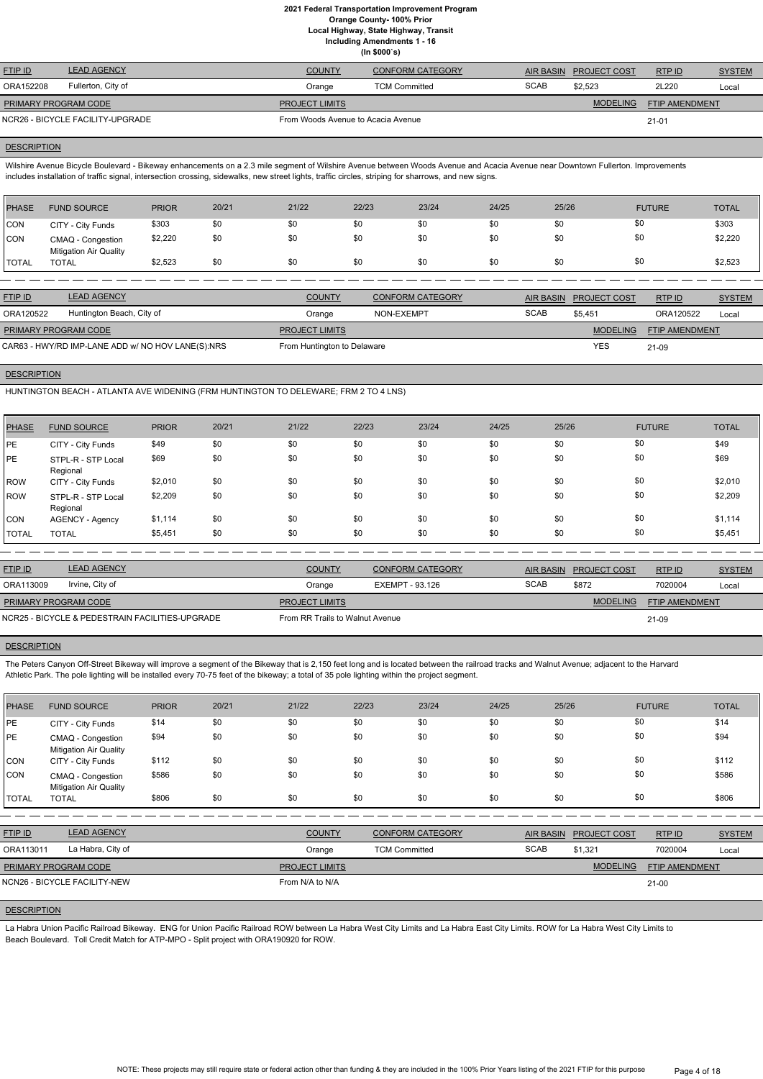**Local Highway, State Highway, Transit Including Amendments 1 - 16**

**(In \$000`s)**

| <b>LEAD AGENCY</b> | <b>COUNTY</b>                                                   | <b>CONFORM CATEGORY</b> |                                    |                 | RTP ID                 | <b>SYSTEM</b> |
|--------------------|-----------------------------------------------------------------|-------------------------|------------------------------------|-----------------|------------------------|---------------|
| Fullerton, City of | Orange                                                          | <b>TCM Committed</b>    | <b>SCAB</b>                        | \$2.523         | 2L220                  | Local         |
|                    | <b>PROJECT LIMITS</b>                                           |                         |                                    | <b>MODELING</b> | FTIP AMENDMENT         |               |
|                    |                                                                 |                         |                                    |                 | $21 - 01$              |               |
|                    | <b>PRIMARY PROGRAM CODE</b><br>NCR26 - BICYCLE FACILITY-UPGRADE |                         | From Woods Avenue to Acacia Avenue |                 | AIR BASIN PROJECT COST |               |

#### **DESCRIPTION**

Wilshire Avenue Bicycle Boulevard - Bikeway enhancements on a 2.3 mile segment of Wilshire Avenue between Woods Avenue and Acacia Avenue near Downtown Fullerton. Improvements includes installation of traffic signal, intersection crossing, sidewalks, new street lights, traffic circles, striping for sharrows, and new signs.

| <b>PHASE</b> | <b>FUND SOURCE</b>                                 | <b>PRIOR</b> | 20/21 | 21/22 | 22/23 | 23/24 | 24/25 | 25/26 | <b>FUTURE</b> | <b>TOTAL</b> |
|--------------|----------------------------------------------------|--------------|-------|-------|-------|-------|-------|-------|---------------|--------------|
| <b>CON</b>   | CITY - City Funds                                  | \$303        | \$0   | \$0   | \$0   | \$0   | \$0   | \$0   | \$0           | \$303        |
| Icon         | CMAQ - Congestion<br><b>Mitigation Air Quality</b> | \$2,220      | \$0   | \$0   | \$0   | \$0   | \$0   | \$0   | \$0           | \$2,220      |
| <b>TOTAL</b> | <b>TOTAL</b>                                       | \$2,523      | \$0   | \$0   | \$0   | \$0   | \$0   | \$0   | \$0           | \$2,523      |
|              |                                                    |              |       |       |       |       |       |       |               |              |

| <b>FTIP ID</b>                                    | <b>LEAD AGENCY</b>        | <b>COUNTY</b>               | <b>CONFORM CATEGORY</b> |             | AIR BASIN PROJECT COST | RTPID                 | <b>SYSTEM</b> |
|---------------------------------------------------|---------------------------|-----------------------------|-------------------------|-------------|------------------------|-----------------------|---------------|
| ORA120522                                         | Huntington Beach, City of | Orange                      | NON-EXEMPT              | <b>SCAB</b> | \$5.451                | ORA120522             | Local         |
| <b>PRIMARY PROGRAM CODE</b>                       |                           | <b>PROJECT LIMITS</b>       |                         |             | <b>MODELING</b>        | <b>FTIP AMENDMENT</b> |               |
| CAR63 - HWY/RD IMP-LANE ADD w/ NO HOV LANE(S):NRS |                           | From Huntington to Delaware |                         |             | <b>YES</b>             | 21-09                 |               |

#### **DESCRIPTION**

The Peters Canyon Off-Street Bikeway will improve a segment of the Bikeway that is 2,150 feet long and is located between the railroad tracks and Walnut Avenue; adjacent to the Harvard Athletic Park. The pole lighting will be installed every 70-75 feet of the bikeway; a total of 35 pole lighting within the project segment.

HUNTINGTON BEACH - ATLANTA AVE WIDENING (FRM HUNTINGTON TO DELEWARE; FRM 2 TO 4 LNS)

| <b>PHASE</b> | <b>FUND SOURCE</b>             | <b>PRIOR</b> | 20/21 | 21/22 | 22/23 | 23/24 | 24/25 | 25/26 | <b>FUTURE</b> | <b>TOTAL</b> |
|--------------|--------------------------------|--------------|-------|-------|-------|-------|-------|-------|---------------|--------------|
| <b>IPE</b>   | CITY - City Funds              | \$49         | \$0   | \$0   | \$0   | \$0   | \$0   | \$0   | \$0           | \$49         |
| <b>PE</b>    | STPL-R - STP Local<br>Regional | \$69         | \$0   | \$0   | \$0   | \$0   | \$0   | \$0   | \$0           | \$69         |
| ROW          | CITY - City Funds              | \$2,010      | \$0   | \$0   | \$0   | \$0   | \$0   | \$0   | \$0           | \$2,010      |
| ROW          | STPL-R - STP Local<br>Regional | \$2,209      | \$0   | \$0   | \$0   | \$0   | \$0   | \$0   | \$0           | \$2,209      |
| <b>CON</b>   | AGENCY - Agency                | \$1,114      | \$0   | \$0   | \$0   | \$0   | \$0   | \$0   | \$0           | \$1,114      |
| <b>TOTAL</b> | <b>TOTAL</b>                   | \$5,451      | \$0   | \$0   | \$0   | \$0   | \$0   | \$0   | \$0           | \$5,451      |

| <b>FTIP ID</b>                                  | <b>LEAD AGENCY</b> | <b>COUNTY</b>                   | <b>CONFORM CATEGORY</b> |             | AIR BASIN PROJECT COST | RTP ID                | <b>SYSTEM</b> |
|-------------------------------------------------|--------------------|---------------------------------|-------------------------|-------------|------------------------|-----------------------|---------------|
| ORA113009                                       | Irvine, City of    | Orange                          | EXEMPT - 93.126         | <b>SCAB</b> | \$872                  | 7020004               | Local         |
| <b>PRIMARY PROGRAM CODE</b>                     |                    | <b>PROJECT LIMITS</b>           |                         |             | <b>MODELING</b>        | <b>FTIP AMENDMENT</b> |               |
| NCR25 - BICYCLE & PEDESTRAIN FACILITIES-UPGRADE |                    | From RR Trails to Walnut Avenue |                         |             |                        | 21-09                 |               |

# **DESCRIPTION**

| <b>PHASE</b> | <b>FUND SOURCE</b>                                 | <b>PRIOR</b> | 20/21 | 21/22 | 22/23 | 23/24 | 24/25 | 25/26 | <b>FUTURE</b> | <b>TOTAL</b> |
|--------------|----------------------------------------------------|--------------|-------|-------|-------|-------|-------|-------|---------------|--------------|
| PE           | CITY - City Funds                                  | \$14         | \$0   | \$0   | \$0   | \$0   | \$0   | \$0   | \$0           | \$14         |
| PE           | CMAQ - Congestion<br><b>Mitigation Air Quality</b> | \$94         | \$0   | \$0   | \$0   | \$0   | \$0   | \$0   | \$0           | \$94         |
| <b>CON</b>   | CITY - City Funds                                  | \$112        | \$0   | \$0   | \$0   | \$0   | \$0   | \$0   | \$0           | \$112        |
| <b>CON</b>   | CMAQ - Congestion<br><b>Mitigation Air Quality</b> | \$586        | \$0   | \$0   | \$0   | \$0   | \$0   | \$0   | \$0           | \$586        |
| <b>TOTAL</b> | <b>TOTAL</b>                                       | \$806        | \$0   | \$0   | \$0   | \$0   | \$0   | \$0   | \$0           | \$806        |

| <b>FTIP ID</b>              | <b>LEAD AGENCY</b>           | <b>COUNTY</b>         | <b>CONFORM CATEGORY</b> | <b>AIR BASIN</b> | <b>PROJECT COST</b> | <b>RTPID</b>          | <b>SYSTEM</b> |
|-----------------------------|------------------------------|-----------------------|-------------------------|------------------|---------------------|-----------------------|---------------|
| ORA113011                   | La Habra, City of            | Orange                | <b>TCM Committed</b>    | <b>SCAB</b>      | \$1,321             | 7020004               | Local         |
| <b>PRIMARY PROGRAM CODE</b> |                              | <b>PROJECT LIMITS</b> |                         |                  | <b>MODELING</b>     | <b>FTIP AMENDMENT</b> |               |
|                             | NCN26 - BICYCLE FACILITY-NEW | From N/A to N/A       |                         |                  |                     | $21 - 00$             |               |

# **DESCRIPTION**

La Habra Union Pacific Railroad Bikeway. ENG for Union Pacific Railroad ROW between La Habra West City Limits and La Habra East City Limits. ROW for La Habra West City Limits to Beach Boulevard. Toll Credit Match for ATP-MPO - Split project with ORA190920 for ROW.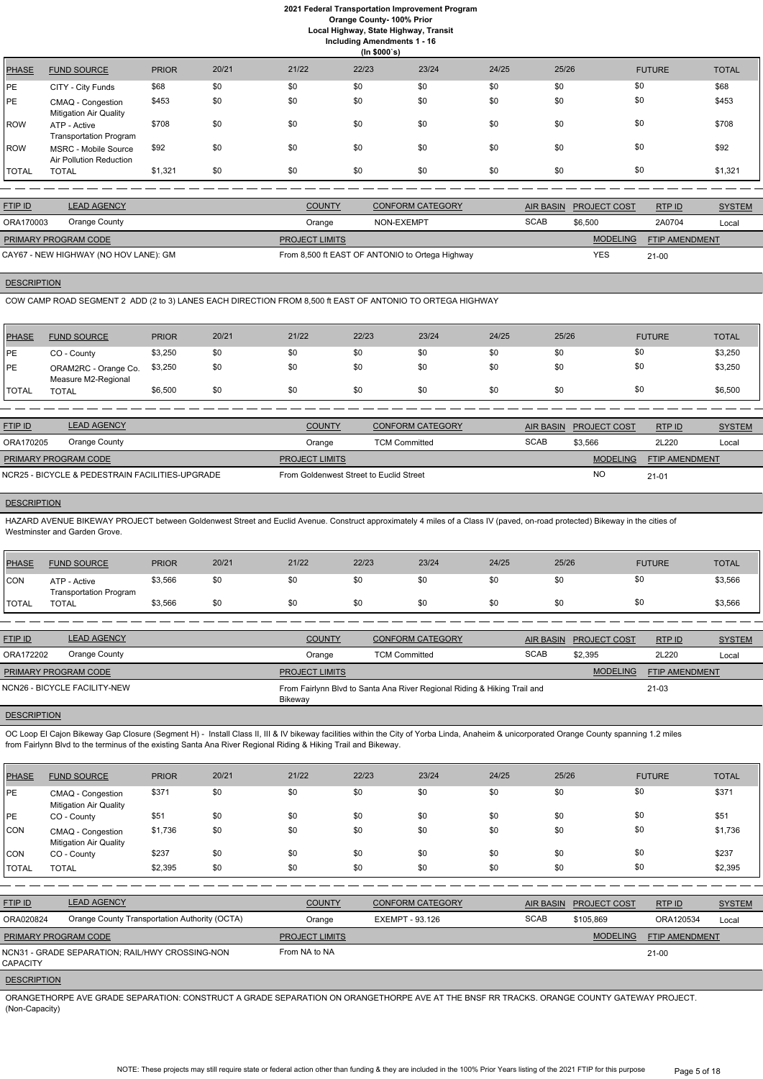**Local Highway, State Highway, Transit**

|              | <b>Including Amendments 1 - 16</b><br>(ln \$000's) |              |       |       |       |       |       |       |               |              |  |  |
|--------------|----------------------------------------------------|--------------|-------|-------|-------|-------|-------|-------|---------------|--------------|--|--|
| <b>PHASE</b> | <b>FUND SOURCE</b>                                 | <b>PRIOR</b> | 20/21 | 21/22 | 22/23 | 23/24 | 24/25 | 25/26 | <b>FUTURE</b> | <b>TOTAL</b> |  |  |
| PE           | CITY - City Funds                                  | \$68         | \$0   | \$0   | \$0   | \$0   | \$0   | \$0   | \$0           | \$68         |  |  |
| PE           | CMAQ - Congestion<br><b>Mitigation Air Quality</b> | \$453        | \$0   | \$0   | \$0   | \$0   | \$0   | \$0   | \$0           | \$453        |  |  |
| <b>ROW</b>   | ATP - Active<br><b>Transportation Program</b>      | \$708        | \$0   | \$0   | \$0   | \$0   | \$0   | \$0   | \$0           | \$708        |  |  |
| <b>ROW</b>   | MSRC - Mobile Source<br>Air Pollution Reduction    | \$92         | \$0   | \$0   | \$0   | \$0   | \$0   | \$0   | \$0           | \$92         |  |  |
| TOTAL        | <b>TOTAL</b>                                       | \$1,321      | \$0   | \$0   | \$0   | \$0   | \$0   | \$0   | \$0           | \$1,321      |  |  |

| <b>FTIP ID</b>       | <b>LEAD AGENCY</b>                    | <b>COUNTY</b>         | <b>CONFORM CATEGORY</b>                         |             | AIR BASIN PROJECT COST | RTP ID                | <b>SYSTEM</b> |
|----------------------|---------------------------------------|-----------------------|-------------------------------------------------|-------------|------------------------|-----------------------|---------------|
| ORA170003            | Orange County                         | Orange                | NON-EXEMPT                                      | <b>SCAB</b> | \$6.500                | 2A0704                | Local         |
| PRIMARY PROGRAM CODE |                                       | <b>PROJECT LIMITS</b> |                                                 |             | MODELING               | <b>FTIP AMENDMENT</b> |               |
|                      | CAY67 - NEW HIGHWAY (NO HOV LANE): GM |                       | From 8,500 ft EAST OF ANTONIO to Ortega Highway |             | <b>YES</b>             | $21 - 00$             |               |

# **DESCRIPTION**

 $PE$ 

ROW

HAZARD AVENUE BIKEWAY PROJECT between Goldenwest Street and Euclid Avenue. Construct approximately 4 miles of a Class IV (paved, on-road protected) Bikeway in the cities of Westminster and Garden Grove.

COW CAMP ROAD SEGMENT 2 ADD (2 to 3) LANES EACH DIRECTION FROM 8,500 ft EAST OF ANTONIO TO ORTEGA HIGHWAY

| <b>PHASE</b> | <b>FUND SOURCE</b>                          | <b>PRIOR</b> | 20/21 | 21/22 | 22/23 | 23/24 | 24/25 | 25/26 | <b>FUTURE</b> | <b>TOTAL</b> |
|--------------|---------------------------------------------|--------------|-------|-------|-------|-------|-------|-------|---------------|--------------|
| <b>IPE</b>   | CO - County                                 | \$3,250      | \$0   | \$0   | \$0   | \$0   | \$0   | \$0   | \$0           | \$3,250      |
| <b>IPE</b>   | ORAM2RC - Orange Co.<br>Measure M2-Regional | \$3,250      | \$0   | \$0   | \$0   | \$0   | \$0   | \$0   | \$0           | \$3,250      |
| <b>TOTAL</b> | <b>TOTAL</b>                                | \$6,500      | \$0   | \$0   | \$0   | \$0   | \$0   | \$0   | \$0           | \$6,500      |

OC Loop El Cajon Bikeway Gap Closure (Segment H) - Install Class II, III & IV bikeway facilities within the City of Yorba Linda, Anaheim & unicorporated Orange County spanning 1.2 miles from Fairlynn Blvd to the terminus of the existing Santa Ana River Regional Riding & Hiking Trail and Bikeway.

| <b>FTIP ID</b>              | <b>LEAD AGENCY</b>                              | <b>COUNTY</b>                           | <b>CONFORM CATEGORY</b> |             | AIR BASIN PROJECT COST | RTP ID                | <b>SYSTEM</b> |
|-----------------------------|-------------------------------------------------|-----------------------------------------|-------------------------|-------------|------------------------|-----------------------|---------------|
| ORA170205                   | Orange County                                   | Orange                                  | <b>TCM Committed</b>    | <b>SCAB</b> | \$3,566                | 2L220                 | Local         |
| <b>PRIMARY PROGRAM CODE</b> |                                                 | <b>PROJECT LIMITS</b>                   |                         |             | <b>MODELING</b>        | <b>FTIP AMENDMENT</b> |               |
|                             | NCR25 - BICYCLE & PEDESTRAIN FACILITIES-UPGRADE | From Goldenwest Street to Euclid Street |                         |             | <b>NC</b>              | $21 - 01$             |               |

#### **DESCRIPTION**

| PHASE          | <b>FUND SOURCE</b>                            | <b>PRIOR</b> | 20/21 | 21/22 | 22/23 | 23/24 | 24/25 | 25/26 | <b>FUTURE</b> | <b>TOTAL</b> |
|----------------|-----------------------------------------------|--------------|-------|-------|-------|-------|-------|-------|---------------|--------------|
| <b>CON</b>     | ATP - Active<br><b>Transportation Program</b> | \$3,566      | \$0   | \$0   | \$0   | \$0   | \$0   | \$0   |               | \$3,566      |
| <b>I</b> TOTAL | TOTAL                                         | \$3,566      | \$0   | \$0   | \$0   | \$0   | \$0   | \$0   |               | \$3,566      |

| <b>FTIP ID</b>              | <b>LEAD AGENCY</b>           | <b>COUNTY</b>         | <b>CONFORM CATEGORY</b>                                                  |             | AIR BASIN PROJECT COST | RTP ID                | <b>SYSTEM</b> |
|-----------------------------|------------------------------|-----------------------|--------------------------------------------------------------------------|-------------|------------------------|-----------------------|---------------|
| ORA172202                   | Orange County                | Orange                | <b>TCM Committed</b>                                                     | <b>SCAB</b> | \$2,395                | 2L220                 | Local         |
| <b>PRIMARY PROGRAM CODE</b> |                              | <b>PROJECT LIMITS</b> |                                                                          |             | <b>MODELING</b>        | <b>FTIP AMENDMENT</b> |               |
|                             | NCN26 - BICYCLE FACILITY-NEW | Bikeway               | From Fairlynn Blvd to Santa Ana River Regional Riding & Hiking Trail and |             |                        | 21-03                 |               |
|                             |                              |                       |                                                                          |             |                        |                       |               |

# **DESCRIPTION**

| <b>PHASE</b> | <b>FUND SOURCE</b>                                 | <b>PRIOR</b> | 20/21 | 21/22 | 22/23 | 23/24 | 24/25 | 25/26 | <b>FUTURE</b> | <b>TOTAL</b> |
|--------------|----------------------------------------------------|--------------|-------|-------|-------|-------|-------|-------|---------------|--------------|
| <b>IPE</b>   | CMAQ - Congestion<br><b>Mitigation Air Quality</b> | \$371        | \$0   | \$0   | \$0   | \$0   | \$0   | \$0   | \$0           | \$371        |
| <b>IPE</b>   | CO - County                                        | \$51         | \$0   | \$0   | \$0   | \$0   | \$0   | \$0   | \$0           | \$51         |
| <b>CON</b>   | CMAQ - Congestion<br><b>Mitigation Air Quality</b> | \$1,736      | \$0   | \$0   | \$0   | \$0   | \$0   | \$0   | \$0           | \$1,736      |
| CON          | CO - County                                        | \$237        | \$0   | \$0   | \$0   | \$0   | \$0   | \$0   | \$0           | \$237        |
| TOTAL        | <b>TOTAL</b>                                       | \$2,395      | \$0   | \$0   | \$0   | \$0   | \$0   | \$0   | \$0           | \$2,395      |

| <b>FTIP ID</b>              | <b>LEAD AGENCY</b>                              | <b>COUNTY</b>         | <b>CONFORM CATEGORY</b> | <b>AIR BASIN</b> | <b>PROJECT COST</b> | RTPID                 | <b>SYSTEM</b> |
|-----------------------------|-------------------------------------------------|-----------------------|-------------------------|------------------|---------------------|-----------------------|---------------|
| ORA020824                   | Orange County Transportation Authority (OCTA)   | Orange                | EXEMPT - 93.126         | <b>SCAB</b>      | \$105.869           | ORA120534             | Local         |
| <b>PRIMARY PROGRAM CODE</b> |                                                 | <b>PROJECT LIMITS</b> |                         |                  | <b>MODELING</b>     | <b>FTIP AMENDMENT</b> |               |
| <b>CAPACITY</b>             | NCN31 - GRADE SEPARATION; RAIL/HWY CROSSING-NON | From NA to NA         |                         |                  |                     | $21 - 00$             |               |

# **DESCRIPTION**

ORANGETHORPE AVE GRADE SEPARATION: CONSTRUCT A GRADE SEPARATION ON ORANGETHORPE AVE AT THE BNSF RR TRACKS. ORANGE COUNTY GATEWAY PROJECT. (Non-Capacity)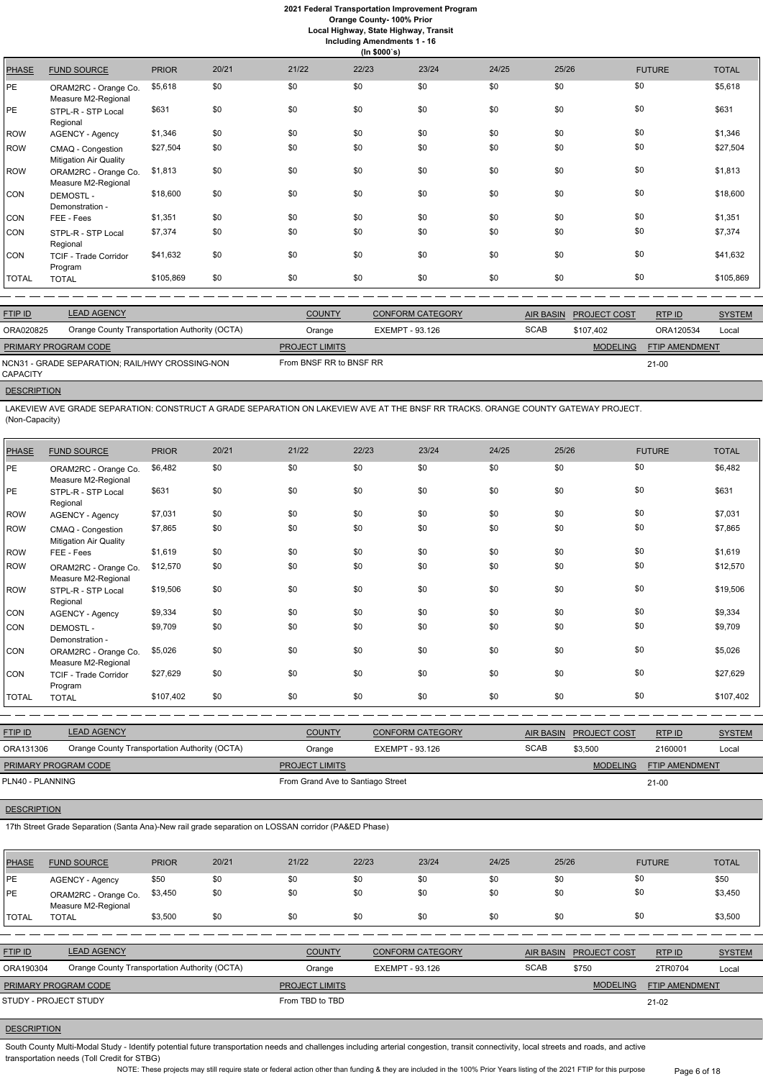**Orange County- 100% Prior**

**Local Highway, State Highway, Transit Including Amendments 1 - 16**

|              | (ln \$000's)                                       |              |       |       |       |       |       |       |               |              |  |  |
|--------------|----------------------------------------------------|--------------|-------|-------|-------|-------|-------|-------|---------------|--------------|--|--|
| <b>PHASE</b> | <b>FUND SOURCE</b>                                 | <b>PRIOR</b> | 20/21 | 21/22 | 22/23 | 23/24 | 24/25 | 25/26 | <b>FUTURE</b> | <b>TOTAL</b> |  |  |
| РE.          | ORAM2RC - Orange Co.<br>Measure M2-Regional        | \$5,618      | \$0   | \$0   | \$0   | \$0   | \$0   | \$0   | \$0           | \$5,618      |  |  |
| РE.          | STPL-R - STP Local<br>Regional                     | \$631        | \$0   | \$0   | \$0   | \$0   | \$0   | \$0   | \$0           | \$631        |  |  |
| <b>ROW</b>   | <b>AGENCY - Agency</b>                             | \$1,346      | \$0   | \$0   | \$0   | \$0   | \$0   | \$0   | \$0           | \$1,346      |  |  |
| <b>ROW</b>   | CMAQ - Congestion<br><b>Mitigation Air Quality</b> | \$27,504     | \$0   | \$0   | \$0   | \$0   | \$0   | \$0   | \$0           | \$27,504     |  |  |
| ROW          | ORAM2RC - Orange Co.<br>Measure M2-Regional        | \$1,813      | \$0   | \$0   | \$0   | \$0   | \$0   | \$0   | \$0           | \$1,813      |  |  |
| CON          | <b>DEMOSTL-</b><br>Demonstration -                 | \$18,600     | \$0   | \$0   | \$0   | \$0   | \$0   | \$0   | \$0           | \$18,600     |  |  |
| CON          | FEE - Fees                                         | \$1,351      | \$0   | \$0   | \$0   | \$0   | \$0   | \$0   | \$0           | \$1,351      |  |  |
| CON          | STPL-R - STP Local<br>Regional                     | \$7,374      | \$0   | \$0   | \$0   | \$0   | \$0   | \$0   | \$0           | \$7,374      |  |  |
| CON          | <b>TCIF - Trade Corridor</b><br>Program            | \$41,632     | \$0   | \$0   | \$0   | \$0   | \$0   | \$0   | \$0           | \$41,632     |  |  |
| TOTAL        | <b>TOTAL</b>                                       | \$105,869    | \$0   | \$0   | \$0   | \$0   | \$0   | \$0   | \$0           | \$105,869    |  |  |
|              |                                                    |              |       |       |       |       |       |       |               |              |  |  |

| <b>FTIP ID</b>       | <b>LEAD AGENCY</b>                              | <b>COUNTY</b>           | <b>CONFORM CATEGORY</b> | <b>AIR BASIN</b> | <b>PROJECT COST</b> | RTP ID                | <b>SYSTEM</b> |
|----------------------|-------------------------------------------------|-------------------------|-------------------------|------------------|---------------------|-----------------------|---------------|
| ORA020825            | Orange County Transportation Authority (OCTA)   | Orange                  | EXEMPT - 93.126         | <b>SCAB</b>      | \$107.402           | ORA120534             | Local         |
| PRIMARY PROGRAM CODE |                                                 | <b>PROJECT LIMITS</b>   |                         |                  | <b>MODELING</b>     | <b>FTIP AMENDMENT</b> |               |
| CAPACITY             | NCN31 - GRADE SEPARATION: RAIL/HWY CROSSING-NON | From BNSF RR to BNSF RR |                         |                  |                     | 21-00                 |               |

#### **DESCRIPTION**

LAKEVIEW AVE GRADE SEPARATION: CONSTRUCT A GRADE SEPARATION ON LAKEVIEW AVE AT THE BNSF RR TRACKS. ORANGE COUNTY GATEWAY PROJECT. (Non-Capacity)

South County Multi-Modal Study - Identify potential future transportation needs and challenges including arterial congestion, transit connectivity, local streets and roads, and active transportation needs (Toll Credit for STBG)

| <b>PHASE</b> | <b>FUND SOURCE</b>                          | <b>PRIOR</b> | 20/21 | 21/22 | 22/23 | 23/24 | 24/25 | 25/26 | <b>FUTURE</b> | <b>TOTAL</b> |
|--------------|---------------------------------------------|--------------|-------|-------|-------|-------|-------|-------|---------------|--------------|
| PE           | ORAM2RC - Orange Co.<br>Measure M2-Regional | \$6,482      | \$0   | \$0   | \$0   | \$0   | \$0   | \$0   | \$0           | \$6,482      |
| PE           | STPL-R - STP Local<br>Regional              | \$631        | \$0   | \$0   | \$0   | \$0   | \$0   | \$0   | \$0           | \$631        |
| <b>ROW</b>   | <b>AGENCY - Agency</b>                      | \$7,031      | \$0   | \$0   | \$0   | \$0   | \$0   | \$0   | \$0           | \$7,031      |
| ROW          | CMAQ - Congestion<br>Mitigation Air Quality | \$7,865      | \$0   | \$0   | \$0   | \$0   | \$0   | \$0   | \$0           | \$7,865      |
| <b>ROW</b>   | FEE - Fees                                  | \$1,619      | \$0   | \$0   | \$0   | \$0   | \$0   | \$0   | \$0           | \$1,619      |
| ROW          | ORAM2RC - Orange Co.<br>Measure M2-Regional | \$12,570     | \$0   | \$0   | \$0   | \$0   | \$0   | \$0   | \$0           | \$12,570     |
| <b>ROW</b>   | STPL-R - STP Local<br>Regional              | \$19,506     | \$0   | \$0   | \$0   | \$0   | \$0   | \$0   | \$0           | \$19,506     |
| CON          | <b>AGENCY - Agency</b>                      | \$9,334      | \$0   | \$0   | \$0   | \$0   | \$0   | \$0   | \$0           | \$9,334      |
| CON          | <b>DEMOSTL-</b><br>Demonstration -          | \$9,709      | \$0   | \$0   | \$0   | \$0   | \$0   | \$0   | \$0           | \$9,709      |
| <b>CON</b>   | ORAM2RC - Orange Co.<br>Measure M2-Regional | \$5,026      | \$0   | \$0   | \$0   | \$0   | \$0   | \$0   | \$0           | \$5,026      |
| CON          | <b>TCIF - Trade Corridor</b><br>Program     | \$27,629     | \$0   | \$0   | \$0   | \$0   | \$0   | \$0   | \$0           | \$27,629     |
| <b>TOTAL</b> | <b>TOTAL</b>                                | \$107,402    | \$0   | \$0   | \$0   | \$0   | \$0   | \$0   | \$0           | \$107,402    |
|              |                                             |              |       |       |       |       |       |       |               |              |

| <b>FTIP ID</b>       | <b>LEAD AGENCY</b>                            | <b>COUNTY</b>                     | CONFORM CATEGORY |             | AIR BASIN PROJECT COST | RTPID                 | <b>SYSTEM</b> |
|----------------------|-----------------------------------------------|-----------------------------------|------------------|-------------|------------------------|-----------------------|---------------|
| ORA131306            | Orange County Transportation Authority (OCTA) | Orange                            | EXEMPT - 93.126  | <b>SCAB</b> | \$3,500                | 2160001               | Local         |
| PRIMARY PROGRAM CODE |                                               | <b>PROJECT LIMITS</b>             |                  |             | <b>MODELING</b>        | <b>FTIP AMENDMENT</b> |               |
| PLN40 - PLANNING     |                                               | From Grand Ave to Santiago Street |                  |             |                        | $21 - 00$             |               |

| <b>PHASE</b> | <b>FUND SOURCE</b>                          | <b>PRIOR</b> | 20/21 | 21/22 | 22/23 | 23/24 | 24/25 | 25/26 | <b>FUTURE</b> | <b>TOTAL</b> |
|--------------|---------------------------------------------|--------------|-------|-------|-------|-------|-------|-------|---------------|--------------|
| <b>IPE</b>   | <b>AGENCY - Agency</b>                      | \$50         | \$0   | \$0   | \$0   | \$0   | \$0   | \$0   | \$0           | \$50         |
| <b>IPE</b>   | ORAM2RC - Orange Co.<br>Measure M2-Regional | \$3,450      | \$0   | \$0   | \$0   | \$0   | \$0   | \$0   | \$0           | \$3,450      |
| 'TOTAL       | <b>TOTAL</b>                                | \$3,500      | \$0   | \$0   | \$0   | \$0   | \$0   | \$0   | \$0           | \$3,500      |

| <b>FTIP ID</b>              | <b>LEAD AGENCY</b>                            | <b>COUNTY</b>         | <b>CONFORM CATEGORY</b> |             | AIR BASIN PROJECT COST | RTPID                 | <b>SYSTEM</b> |
|-----------------------------|-----------------------------------------------|-----------------------|-------------------------|-------------|------------------------|-----------------------|---------------|
| ORA190304                   | Orange County Transportation Authority (OCTA) | Orange                | EXEMPT - 93.126         | <b>SCAB</b> | \$750                  | 2TR0704               | Local         |
| <b>PRIMARY PROGRAM CODE</b> |                                               | <b>PROJECT LIMITS</b> |                         |             | <b>MODELING</b>        | <b>FTIP AMENDMENT</b> |               |
| STUDY - PROJECT STUDY       |                                               | From TBD to TBD       |                         |             |                        | 21-02                 |               |

# **DESCRIPTION**

NOTE: These projects may still require state or federal action other than funding & they are included in the 100% Prior Years listing of the 2021 FTIP for this purpose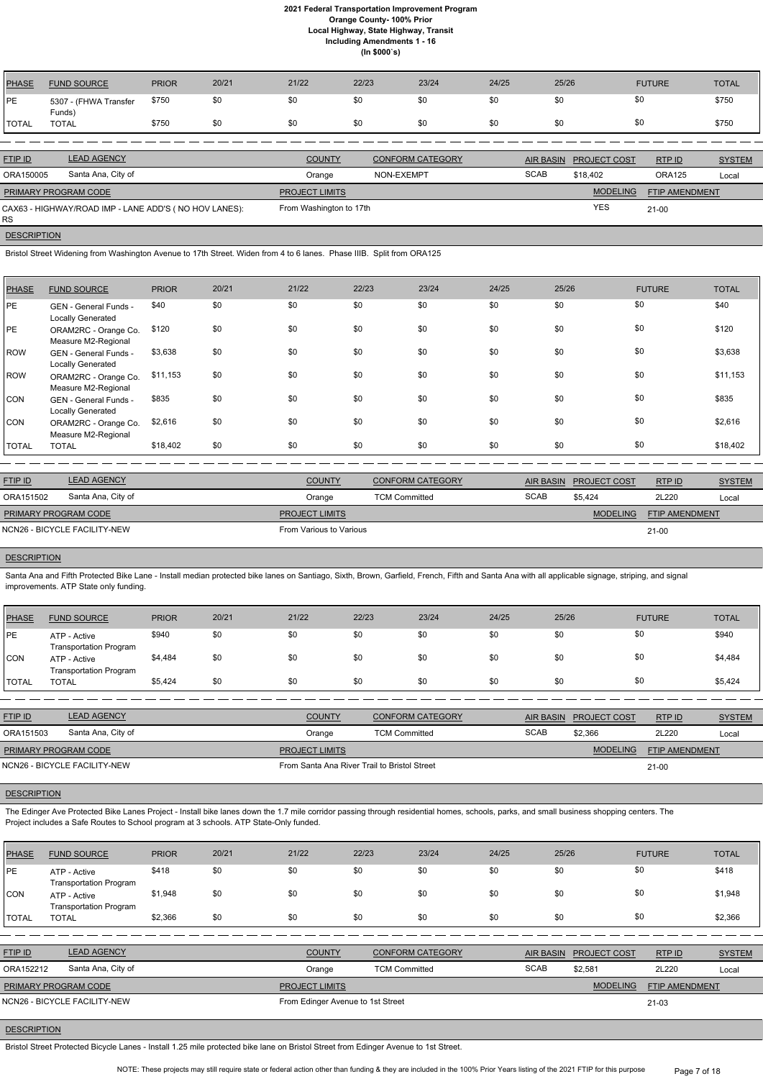| <b>PHASE</b> | <b>FUND SOURCE</b>                                    | <b>PRIOR</b> | 20/21 | 21/22                   | 22/23      | 23/24                   | 24/25       | 25/26 |                        | <b>FUTURE</b>         | <b>TOTAL</b>  |
|--------------|-------------------------------------------------------|--------------|-------|-------------------------|------------|-------------------------|-------------|-------|------------------------|-----------------------|---------------|
| <b>PE</b>    | 5307 - (FHWA Transfer<br>Funds)                       | \$750        | \$0   | \$0                     | \$0        | \$0                     | \$0         | \$0   | \$0                    |                       | \$750         |
| <b>TOTAL</b> | <b>TOTAL</b>                                          | \$750        | \$0   | \$0                     | \$0        | \$0                     | \$0         | \$0   | \$0                    |                       | \$750         |
|              |                                                       |              |       |                         |            |                         |             |       |                        |                       |               |
| FTIP ID      | <b>LEAD AGENCY</b>                                    |              |       | <b>COUNTY</b>           |            | <b>CONFORM CATEGORY</b> |             |       | AIR BASIN PROJECT COST | RTP ID                | <b>SYSTEM</b> |
| ORA150005    | Santa Ana, City of                                    |              |       | Orange                  | NON-EXEMPT |                         | <b>SCAB</b> |       | \$18,402               | <b>ORA125</b>         | Local         |
|              | PRIMARY PROGRAM CODE                                  |              |       | <b>PROJECT LIMITS</b>   |            |                         |             |       | <b>MODELING</b>        | <b>FTIP AMENDMENT</b> |               |
|              | CAX63 - HIGHWAY/ROAD IMP - LANE ADD'S (NO HOV LANES): |              |       | From Washington to 17th |            |                         |             |       | <b>YES</b>             | $21 - 00$             |               |

# **DESCRIPTION**

RS

Bristol Street Widening from Washington Avenue to 17th Street. Widen from 4 to 6 lanes. Phase IIIB. Split from ORA125

Santa Ana and Fifth Protected Bike Lane - Install median protected bike lanes on Santiago, Sixth, Brown, Garfield, French, Fifth and Santa Ana with all applicable signage, striping, and signal improvements. ATP State only funding.

| <b>PHASE</b> | <b>FUND SOURCE</b>                          | <b>PRIOR</b> | 20/21 | 21/22 | 22/23 | 23/24 | 24/25 | 25/26 | <b>FUTURE</b> | <b>TOTAL</b> |
|--------------|---------------------------------------------|--------------|-------|-------|-------|-------|-------|-------|---------------|--------------|
| <b>IPE</b>   | GEN - General Funds -<br>Locally Generated  | \$40         | \$0   | \$0   | \$0   | \$0   | \$0   | \$0   | \$0           | \$40         |
| <b>PE</b>    | ORAM2RC - Orange Co.<br>Measure M2-Regional | \$120        | \$0   | \$0   | \$0   | \$0   | \$0   | \$0   | \$0           | \$120        |
| ROW          | GEN - General Funds -<br>Locally Generated  | \$3,638      | \$0   | \$0   | \$0   | \$0   | \$0   | \$0   | \$0           | \$3,638      |
| ROW          | ORAM2RC - Orange Co.<br>Measure M2-Regional | \$11,153     | \$0   | \$0   | \$0   | \$0   | \$0   | \$0   | \$0           | \$11,153     |
| CON          | GEN - General Funds -<br>Locally Generated  | \$835        | \$0   | \$0   | \$0   | \$0   | \$0   | \$0   | \$0           | \$835        |
| CON          | ORAM2RC - Orange Co.<br>Measure M2-Regional | \$2,616      | \$0   | \$0   | \$0   | \$0   | \$0   | \$0   | \$0           | \$2,616      |
| <b>TOTAL</b> | <b>TOTAL</b>                                | \$18,402     | \$0   | \$0   | \$0   | \$0   | \$0   | \$0   | \$0           | \$18,402     |

| <b>FTIP ID</b>              | <b>LEAD AGENCY</b>           | <b>COUNTY</b>           | <b>CONFORM CATEGORY</b> |             | AIR BASIN PROJECT COST | RTPID                 | <b>SYSTEM</b> |
|-----------------------------|------------------------------|-------------------------|-------------------------|-------------|------------------------|-----------------------|---------------|
| ORA151502                   | Santa Ana, City of           | Orange                  | <b>TCM Committed</b>    | <b>SCAB</b> | \$5.424                | 2L220                 | Local         |
| <b>PRIMARY PROGRAM CODE</b> |                              | <b>PROJECT LIMITS</b>   |                         |             | <b>MODELING</b>        | <b>FTIP AMENDMENT</b> |               |
|                             | NCN26 - BICYCLE FACILITY-NEW | From Various to Various |                         |             |                        | $21 - 00$             |               |

# **DESCRIPTION**

| PHASE        | <b>FUND SOURCE</b>                            | <b>PRIOR</b> | 20/21 | 21/22 | 22/23 | 23/24 | 24/25 | 25/26 | <b>FUTURE</b> | <b>TOTAL</b> |
|--------------|-----------------------------------------------|--------------|-------|-------|-------|-------|-------|-------|---------------|--------------|
| PE           | ATP - Active<br><b>Transportation Program</b> | \$940        | \$0   | \$0   | \$0   | \$0   | \$0   | \$0   | \$0           | \$940        |
| <b>CON</b>   | ATP - Active<br><b>Transportation Program</b> | \$4,484      | \$0   | \$0   | \$0   | \$0   | \$0   | \$0   | \$0           | \$4,484      |
| <b>TOTAL</b> | <b>TOTAL</b>                                  | \$5,424      | \$0   | \$0   | \$0   | \$0   | \$0   | \$0   | \$0           | \$5,424      |

| <b>FTIP ID</b>               | <b>LEAD AGENCY</b> | <b>COUNTY</b>                                | <b>CONFORM CATEGORY</b> |             | AIR BASIN PROJECT COST | RTPID                 | <b>SYSTEM</b> |
|------------------------------|--------------------|----------------------------------------------|-------------------------|-------------|------------------------|-----------------------|---------------|
| ORA151503                    | Santa Ana, City of | Orange                                       | <b>TCM Committed</b>    | <b>SCAB</b> | \$2,366                | 2L220                 | Local         |
| <b>PRIMARY PROGRAM CODE</b>  |                    | <b>PROJECT LIMITS</b>                        |                         |             | <b>MODELING</b>        | <b>FTIP AMENDMENT</b> |               |
| NCN26 - BICYCLE FACILITY-NEW |                    | From Santa Ana River Trail to Bristol Street |                         |             |                        | $21 - 00$             |               |

# **DESCRIPTION**

The Edinger Ave Protected Bike Lanes Project - Install bike lanes down the 1.7 mile corridor passing through residential homes, schools, parks, and small business shopping centers. The

Project includes a Safe Routes to School program at 3 schools. ATP State-Only funded.

| <b>PHASE</b> | <b>FUND SOURCE</b>                            | <b>PRIOR</b> | 20/21 | 21/22 | 22/23 | 23/24 | 24/25 | 25/26 | <b>FUTURE</b> | <b>TOTAL</b> |
|--------------|-----------------------------------------------|--------------|-------|-------|-------|-------|-------|-------|---------------|--------------|
| <b>IPE</b>   | ATP - Active<br><b>Transportation Program</b> | \$418        | \$0   | \$0   | \$0   | \$0   | \$0   | \$0   | \$0           | \$418        |
| <b>CON</b>   | ATP - Active<br><b>Transportation Program</b> | \$1,948      | \$0   | \$0   | \$0   | \$0   | \$0   | \$0   | \$0           | \$1,948      |
| TOTAL        | <b>TOTAL</b>                                  | \$2,366      | \$0   | \$0   | \$0   | \$0   | \$0   | \$0   | \$0           | \$2,366      |

| <b>FTIP ID</b>               | <b>LEAD AGENCY</b> | <b>COUNTY</b>                     | <b>CONFORM CATEGORY</b> |             | AIR BASIN PROJECT COST | RTP ID                | <b>SYSTEM</b> |
|------------------------------|--------------------|-----------------------------------|-------------------------|-------------|------------------------|-----------------------|---------------|
| ORA152212                    | Santa Ana, City of | Orange                            | <b>TCM Committed</b>    | <b>SCAB</b> | \$2,581                | 2L220                 | Local         |
| <b>PRIMARY PROGRAM CODE</b>  |                    | <b>PROJECT LIMITS</b>             |                         |             | <b>MODELING</b>        | <b>FTIP AMENDMENT</b> |               |
| NCN26 - BICYCLE FACILITY-NEW |                    | From Edinger Avenue to 1st Street |                         |             |                        | $21 - 03$             |               |

# **DESCRIPTION**

Bristol Street Protected Bicycle Lanes - Install 1.25 mile protected bike lane on Bristol Street from Edinger Avenue to 1st Street.

NOTE: These projects may still require state or federal action other than funding & they are included in the 100% Prior Years listing of the 2021 FTIP for this purpose Page 7 of 18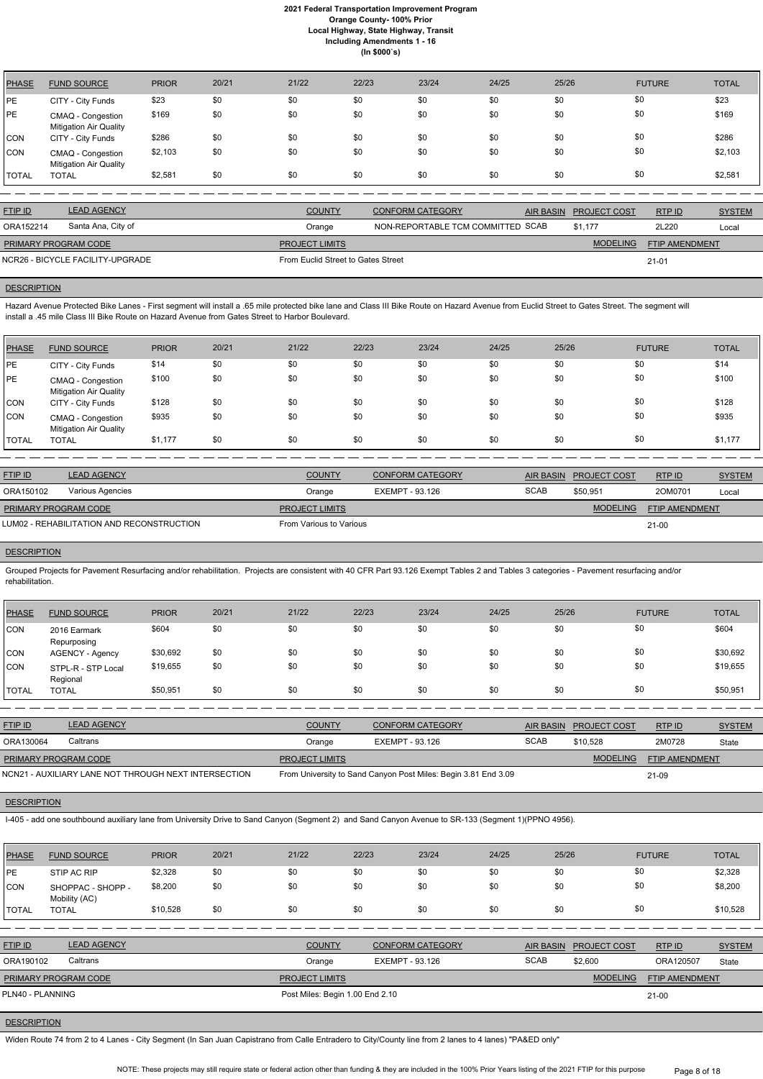| <b>PHASE</b> | <b>FUND SOURCE</b>                                 | <b>PRIOR</b> | 20/21 | 21/22 | 22/23 | 23/24 | 24/25 | 25/26 | <b>FUTURE</b> | <b>TOTAL</b> |
|--------------|----------------------------------------------------|--------------|-------|-------|-------|-------|-------|-------|---------------|--------------|
| <b>PE</b>    | CITY - City Funds                                  | \$23         | \$0   | \$0   | \$0   | \$0   | \$0   | \$0   | \$0           | \$23         |
| PE           | CMAQ - Congestion<br><b>Mitigation Air Quality</b> | \$169        | \$0   | \$0   | \$0   | \$0   | \$0   | \$0   | \$0           | \$169        |
| <b>CON</b>   | CITY - City Funds                                  | \$286        | \$0   | \$0   | \$0   | \$0   | \$0   | \$0   | \$0           | \$286        |
| <b>CON</b>   | CMAQ - Congestion<br><b>Mitigation Air Quality</b> | \$2,103      | \$0   | \$0   | \$0   | \$0   | \$0   | \$0   | \$0           | \$2,103      |
| <b>TOTAL</b> | <b>TOTAL</b>                                       | \$2,581      | \$0   | \$0   | \$0   | \$0   | \$0   | \$0   | \$0           | \$2,581      |

Hazard Avenue Protected Bike Lanes - First segment will install a .65 mile protected bike lane and Class III Bike Route on Hazard Avenue from Euclid Street to Gates Street. The segment will install a .45 mile Class III Bike Route on Hazard Avenue from Gates Street to Harbor Boulevard.

| <b>FTIP ID</b>              | <b>LEAD AGENCY</b>               | <b>COUNTY</b>                      | <b>CONFORM CATEGORY</b>           | AIR BASIN PROJECT COST | RTPID                 | <b>SYSTEM</b> |
|-----------------------------|----------------------------------|------------------------------------|-----------------------------------|------------------------|-----------------------|---------------|
| ORA152214                   | Santa Ana, City of               | Orange                             | NON-REPORTABLE TCM COMMITTED SCAB | \$1.177                | 2L220                 | Local         |
| <b>PRIMARY PROGRAM CODE</b> |                                  | <b>PROJECT LIMITS</b>              |                                   | <b>MODELING</b>        | <b>FTIP AMENDMENT</b> |               |
|                             | NCR26 - BICYCLE FACILITY-UPGRADE | From Euclid Street to Gates Street |                                   |                        | $21 - 01$             |               |

#### **DESCRIPTION**

| <b>PHASE</b> | <b>FUND SOURCE</b>                                 | <b>PRIOR</b> | 20/21 | 21/22 | 22/23 | 23/24 | 24/25 | 25/26 | <b>FUTURE</b> | <b>TOTAL</b> |
|--------------|----------------------------------------------------|--------------|-------|-------|-------|-------|-------|-------|---------------|--------------|
| <b>IPE</b>   | CITY - City Funds                                  | \$14         | \$0   | \$0   | \$0   | \$0   | \$0   | \$0   | \$0           | \$14         |
| <b>PE</b>    | CMAQ - Congestion<br><b>Mitigation Air Quality</b> | \$100        | \$0   | \$0   | \$0   | \$0   | \$0   | \$0   | \$0           | \$100        |
| <b>CON</b>   | CITY - City Funds                                  | \$128        | \$0   | \$0   | \$0   | \$0   | \$0   | \$0   | \$0           | \$128        |
| <b>CON</b>   | CMAQ - Congestion<br><b>Mitigation Air Quality</b> | \$935        | \$0   | \$0   | \$0   | \$0   | \$0   | \$0   | \$0           | \$935        |
| <b>TOTAL</b> | <b>TOTAL</b>                                       | \$1,177      | \$0   | \$0   | \$0   | \$0   | \$0   | \$0   | \$0           | \$1,177      |

| <b>FTIP ID</b>                             | <b>LEAD AGENCY</b> | <b>COUNTY</b>           | <b>CONFORM CATEGORY</b> |             | AIR BASIN PROJECT COST | RTP ID                | <b>SYSTEM</b> |
|--------------------------------------------|--------------------|-------------------------|-------------------------|-------------|------------------------|-----------------------|---------------|
| ORA150102                                  | Various Agencies   | Orange                  | EXEMPT - 93.126         | <b>SCAB</b> | \$50.951               | 20M0701               | Local         |
| <b>PRIMARY PROGRAM CODE</b>                |                    | <b>PROJECT LIMITS</b>   |                         |             | <b>MODELING</b>        | <b>FTIP AMENDMENT</b> |               |
| LUM02 - REHABILITATION AND RECONSTRUCTION_ |                    | From Various to Various |                         |             |                        | $21 - 00$             |               |

# **DESCRIPTION**

Grouped Projects for Pavement Resurfacing and/or rehabilitation. Projects are consistent with 40 CFR Part 93.126 Exempt Tables 2 and Tables 3 categories - Pavement resurfacing and/or rehabilitation.

| PHASE        | <b>FUND SOURCE</b>             | <b>PRIOR</b> | 20/21 | 21/22 | 22/23 | 23/24 | 24/25 | 25/26 | <b>FUTURE</b> | <b>TOTAL</b> |
|--------------|--------------------------------|--------------|-------|-------|-------|-------|-------|-------|---------------|--------------|
| CON          | 2016 Earmark<br>Repurposing    | \$604        | \$0   | \$0   | \$0   | \$0   | \$0   | \$0   | \$0           | \$604        |
| CON          | <b>AGENCY - Agency</b>         | \$30,692     | \$0   | \$0   | \$0   | \$0   | \$0   | \$0   | \$0           | \$30,692     |
| <b>CON</b>   | STPL-R - STP Local<br>Regional | \$19,655     | \$0   | \$0   | \$0   | \$0   | \$0   | \$0   | \$0           | \$19,655     |
| <b>TOTAL</b> | <b>TOTAL</b>                   | \$50,951     | \$0   | \$0   | \$0   | \$0   | \$0   | \$0   | \$0           | \$50,951     |

| <b>FTIP ID</b>                                       | <b>LEAD AGENCY</b> | <b>COUNTY</b>         | <b>CONFORM CATEGORY</b>                                        | AIR BASIN   | <b>PROJECT COST</b> | RTP ID                | <b>SYSTEM</b> |
|------------------------------------------------------|--------------------|-----------------------|----------------------------------------------------------------|-------------|---------------------|-----------------------|---------------|
| ORA130064                                            | Caltrans           | Orange                | EXEMPT - 93.126                                                | <b>SCAB</b> | \$10.528            | 2M0728                | State         |
| <b>PRIMARY PROGRAM CODE</b>                          |                    | <b>PROJECT LIMITS</b> |                                                                |             | <b>MODELING</b>     | <b>FTIP AMENDMENT</b> |               |
| NCN21 - AUXILIARY LANE NOT THROUGH NEXT INTERSECTION |                    |                       | From University to Sand Canyon Post Miles: Begin 3.81 End 3.09 |             |                     | 21-09                 |               |

I-405 - add one southbound auxiliary lane from University Drive to Sand Canyon (Segment 2) and Sand Canyon Avenue to SR-133 (Segment 1)(PPNO 4956).

| PHASE            | <b>FUND SOURCE</b>                 | <b>PRIOR</b> | 20/21 | 21/22                           | 22/23           | 23/24                   | 24/25 | 25/26            |                     | <b>FUTURE</b>  | <b>TOTAL</b>  |
|------------------|------------------------------------|--------------|-------|---------------------------------|-----------------|-------------------------|-------|------------------|---------------------|----------------|---------------|
| <b>PE</b>        | STIP AC RIP                        | \$2,328      | \$0   | \$0                             | \$0             | \$0                     | \$0   | \$0              | \$0                 |                | \$2,328       |
| CON              | SHOPPAC - SHOPP -<br>Mobility (AC) | \$8,200      | \$0   | \$0                             | \$0             | \$0                     | \$0   | \$0              | \$0                 |                | \$8,200       |
| <b>TOTAL</b>     | <b>TOTAL</b>                       | \$10,528     | \$0   | \$0                             | \$0             | \$0                     | \$0   | \$0              | \$0                 |                | \$10,528      |
|                  |                                    |              |       |                                 |                 |                         |       |                  |                     |                |               |
| FTIP ID          | <b>LEAD AGENCY</b>                 |              |       | <b>COUNTY</b>                   |                 | <b>CONFORM CATEGORY</b> |       | <b>AIR BASIN</b> | <b>PROJECT COST</b> | RTPID          | <b>SYSTEM</b> |
| ORA190102        | Caltrans                           |              |       | Orange                          | EXEMPT - 93.126 |                         |       | <b>SCAB</b>      | \$2,600             | ORA120507      | State         |
|                  | PRIMARY PROGRAM CODE               |              |       | <b>PROJECT LIMITS</b>           |                 |                         |       |                  | <b>MODELING</b>     | FTIP AMENDMENT |               |
| PLN40 - PLANNING |                                    |              |       | Post Miles: Begin 1.00 End 2.10 |                 |                         |       |                  |                     | $21 - 00$      |               |

# **DESCRIPTION**

Widen Route 74 from 2 to 4 Lanes - City Segment (In San Juan Capistrano from Calle Entradero to City/County line from 2 lanes to 4 lanes) "PA&ED only"

NOTE: These projects may still require state or federal action other than funding & they are included in the 100% Prior Years listing of the 2021 FTIP for this purpose Page 8 of 18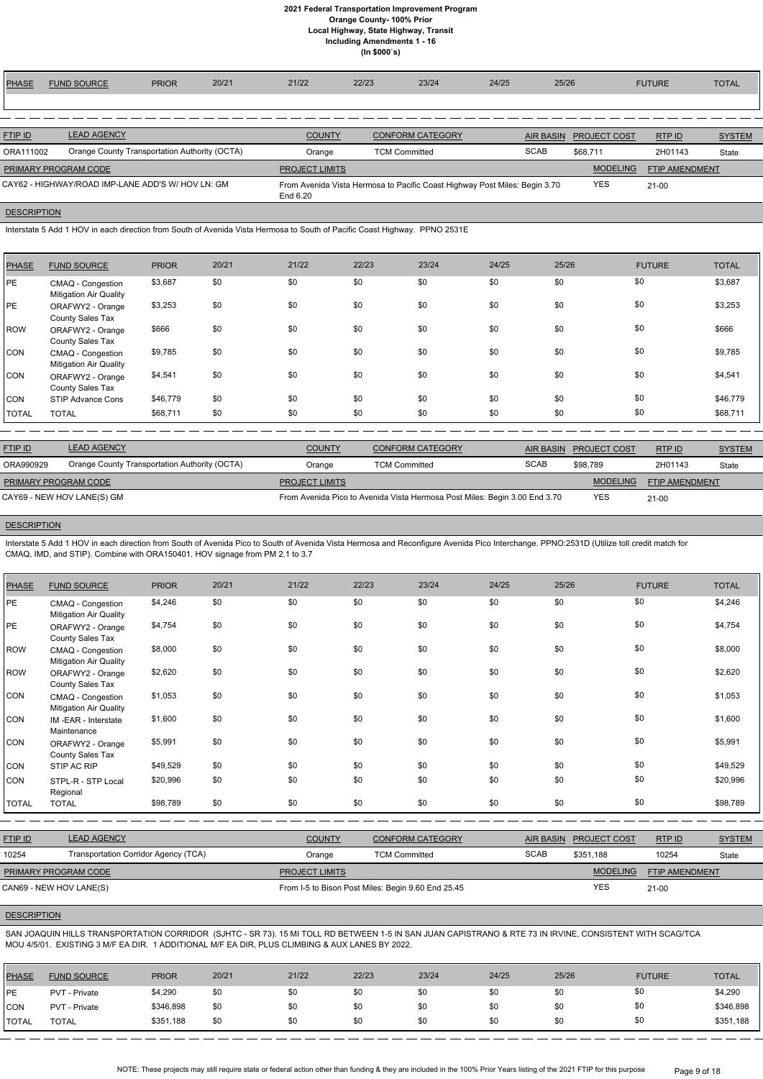| PHASE          | <b>FUND SOURCE</b>                                | <b>PRIOR</b>                                  | 20/21 | 21/22                 | 22/23 | 23/24                                                                      | 24/25 | 25/26            |                     | <b>FUTURE</b>         | <b>TOTAL</b>  |
|----------------|---------------------------------------------------|-----------------------------------------------|-------|-----------------------|-------|----------------------------------------------------------------------------|-------|------------------|---------------------|-----------------------|---------------|
|                |                                                   |                                               |       |                       |       |                                                                            |       |                  |                     |                       |               |
|                |                                                   |                                               |       |                       |       |                                                                            |       |                  |                     |                       |               |
| <b>FTIP ID</b> | <b>LEAD AGENCY</b>                                |                                               |       | <b>COUNTY</b>         |       | <b>CONFORM CATEGORY</b>                                                    |       | <b>AIR BASIN</b> | <b>PROJECT COST</b> | RTPID                 | <b>SYSTEM</b> |
| ORA111002      |                                                   | Orange County Transportation Authority (OCTA) |       | Orange                |       | <b>TCM Committed</b>                                                       |       | <b>SCAB</b>      | \$68.711            | 2H01143               | State         |
|                | PRIMARY PROGRAM CODE                              |                                               |       | <b>PROJECT LIMITS</b> |       |                                                                            |       |                  | <b>MODELING</b>     | <b>FTIP AMENDMENT</b> |               |
|                | CAY62 - HIGHWAY/ROAD IMP-LANE ADD'S W/ HOV LN: GM |                                               |       | End 6.20              |       | From Avenida Vista Hermosa to Pacific Coast Highway Post Miles: Begin 3.70 |       |                  | <b>YES</b>          | $21 - 00$             |               |

# **DESCRIPTION**

Interstate 5 Add 1 HOV in each direction from South of Avenida Vista Hermosa to South of Pacific Coast Highway. PPNO 2531E

| <b>PHASE</b> | <b>FUND SOURCE</b>                                 | <b>PRIOR</b> | 20/21 | 21/22 | 22/23 | 23/24 | 24/25 | 25/26 | <b>FUTURE</b> | <b>TOTAL</b> |
|--------------|----------------------------------------------------|--------------|-------|-------|-------|-------|-------|-------|---------------|--------------|
| <b>IPE</b>   | CMAQ - Congestion<br><b>Mitigation Air Quality</b> | \$3,687      | \$0   | \$0   | \$0   | \$0   | \$0   | \$0   | \$0           | \$3,687      |
| <b>PE</b>    | ORAFWY2 - Orange<br>County Sales Tax               | \$3,253      | \$0   | \$0   | \$0   | \$0   | \$0   | \$0   | \$0           | \$3,253      |
| ROW          | ORAFWY2 - Orange<br>County Sales Tax               | \$666        | \$0   | \$0   | \$0   | \$0   | \$0   | \$0   | \$0           | \$666        |
| CON          | CMAQ - Congestion<br><b>Mitigation Air Quality</b> | \$9,785      | \$0   | \$0   | \$0   | \$0   | \$0   | \$0   | \$0           | \$9,785      |
| CON          | ORAFWY2 - Orange<br>County Sales Tax               | \$4,541      | \$0   | \$0   | \$0   | \$0   | \$0   | \$0   | \$0           | \$4,541      |
| <b>CON</b>   | STIP Advance Cons                                  | \$46,779     | \$0   | \$0   | \$0   | \$0   | \$0   | \$0   | \$0           | \$46,779     |
| <b>TOTAL</b> | <b>TOTAL</b>                                       | \$68,711     | \$0   | \$0   | \$0   | \$0   | \$0   | \$0   | \$0           | \$68,711     |

| <b>LEAD AGENCY</b>                            | <b>COUNTY</b>                                      | <b>CONFORM CATEGORY</b> |             |                                                                            | RTPID                  | <b>SYSTEM</b>         |
|-----------------------------------------------|----------------------------------------------------|-------------------------|-------------|----------------------------------------------------------------------------|------------------------|-----------------------|
| Orange County Transportation Authority (OCTA) | Orange                                             | <b>TCM Committed</b>    | <b>SCAB</b> | \$98.789                                                                   | 2H01143                | State                 |
|                                               | <b>PROJECT LIMITS</b>                              |                         |             | <b>MODELING</b>                                                            |                        |                       |
|                                               |                                                    |                         |             | <b>YES</b>                                                                 | $21 - 00$              |                       |
|                                               | PRIMARY PROGRAM CODE<br>CAY69 - NEW HOV LANE(S) GM |                         |             | From Avenida Pico to Avenida Vista Hermosa Post Miles: Begin 3.00 End 3.70 | AIR BASIN PROJECT COST | <b>FTIP AMENDMENT</b> |

# **DESCRIPTION**

Interstate 5 Add 1 HOV in each direction from South of Avenida Pico to South of Avenida Vista Hermosa and Reconfigure Avenida Pico Interchange. PPNO:2531D (Utilize toll credit match for CMAQ, IMD, and STIP). Combine with ORA150401. HOV signage from PM 2.1 to 3.7

| <b>PHASE</b> | <b>FUND SOURCE</b>                                 | <b>PRIOR</b> | 20/21 | 21/22 | 22/23 | 23/24 | 24/25 | 25/26 | <b>FUTURE</b> | <b>TOTAL</b> |
|--------------|----------------------------------------------------|--------------|-------|-------|-------|-------|-------|-------|---------------|--------------|
| PE           | CMAQ - Congestion<br><b>Mitigation Air Quality</b> | \$4,246      | \$0   | \$0   | \$0   | \$0   | \$0   | \$0   | \$0           | \$4,246      |
| PE           | ORAFWY2 - Orange<br>County Sales Tax               | \$4,754      | \$0   | \$0   | \$0   | \$0   | \$0   | \$0   | \$0           | \$4,754      |
| <b>ROW</b>   | CMAQ - Congestion<br><b>Mitigation Air Quality</b> | \$8,000      | \$0   | \$0   | \$0   | \$0   | \$0   | \$0   | \$0           | \$8,000      |
| ROW          | ORAFWY2 - Orange<br>County Sales Tax               | \$2,620      | \$0   | \$0   | \$0   | \$0   | \$0   | \$0   | \$0           | \$2,620      |
| CON          | CMAQ - Congestion<br><b>Mitigation Air Quality</b> | \$1,053      | \$0   | \$0   | \$0   | \$0   | \$0   | \$0   | \$0           | \$1,053      |
| CON          | IM-EAR - Interstate<br>Maintenance                 | \$1,600      | \$0   | \$0   | \$0   | \$0   | \$0   | \$0   | \$0           | \$1,600      |
| CON          | ORAFWY2 - Orange<br>County Sales Tax               | \$5,991      | \$0   | \$0   | \$0   | \$0   | \$0   | \$0   | \$0           | \$5,991      |
| CON          | STIP AC RIP                                        | \$49,529     | \$0   | \$0   | \$0   | \$0   | \$0   | \$0   | \$0           | \$49,529     |
| <b>CON</b>   | STPL-R - STP Local<br>Regional                     | \$20,996     | \$0   | \$0   | \$0   | \$0   | \$0   | \$0   | \$0           | \$20,996     |
| <b>TOTAL</b> | <b>TOTAL</b>                                       | \$98,789     | \$0   | \$0   | \$0   | \$0   | \$0   | \$0   | \$0           | \$98,789     |

| <b>FTIP ID</b>              | <b>LEAD AGENCY</b>                   | <b>COUNTY</b><br><b>CONFORM CATEGORY</b> |                                                    | AIR BASIN   | <b>PROJECT COST</b> | RTP ID                | <b>SYSTEM</b> |
|-----------------------------|--------------------------------------|------------------------------------------|----------------------------------------------------|-------------|---------------------|-----------------------|---------------|
| 10254                       | Transportation Corridor Agency (TCA) | Orange                                   | <b>TCM Committed</b>                               | <b>SCAB</b> | \$351.188           | 10254                 | State         |
| <b>PRIMARY PROGRAM CODE</b> |                                      | <b>PROJECT LIMITS</b>                    |                                                    |             | <b>MODELING</b>     | <b>FTIP AMENDMENT</b> |               |
| CAN69 - NEW HOV LANE(S)     |                                      |                                          | From I-5 to Bison Post Miles: Begin 9.60 End 25.45 |             | YES                 | $21 - 00$             |               |

# **DESCRIPTION**

SAN JOAQUIN HILLS TRANSPORTATION CORRIDOR (SJHTC - SR 73). 15 MI TOLL RD BETWEEN 1-5 IN SAN JUAN CAPISTRANO & RTE 73 IN IRVINE, CONSISTENT WITH SCAG/TCA MOU 4/5/01. EXISTING 3 M/F EA DIR. 1 ADDITIONAL M/F EA DIR, PLUS CLIMBING & AUX LANES BY 2022.

| <b>PHASE</b>  | <b>FUND SOURCE</b> | <b>PRIOR</b> | 20/21 | 21/22 | 22/23 | 23/24 | 24/25 | 25/26 | <b>FUTURE</b> | <b>TOTAL</b> |
|---------------|--------------------|--------------|-------|-------|-------|-------|-------|-------|---------------|--------------|
| <b>IPE</b>    | PVT - Private      | \$4,290      | \$0   | \$0   | \$0   | \$0   | \$0   | \$0   | \$0           | \$4,290      |
| ICON          | PVT - Private      | \$346,898    | \$0   | \$0   | \$0   | \$0   | \$0   | \$0   | \$0           | \$346,898    |
| <b>ITOTAL</b> | TOTAL              | \$351,188    | \$0   | \$0   | \$0   | \$0   | \$0   | \$0   | \$0           | \$351,188    |

NOTE: These projects may still require state or federal action other than funding & they are included in the 100% Prior Years listing of the 2021 FTIP for this purpose Page 9 of 18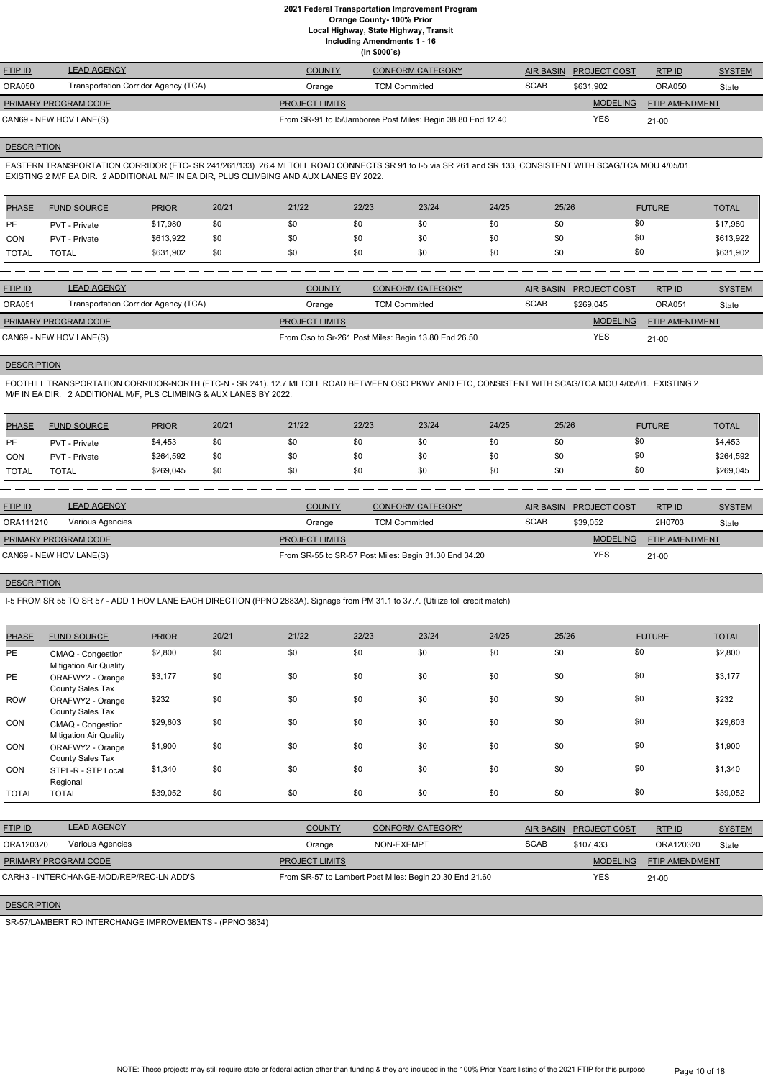**Local Highway, State Highway, Transit**

**Including Amendments 1 - 16**

**(In \$000`s)**

| <b>FTIP ID</b>              | <b>LEAD AGENCY</b>                   | <b>COUNTY</b>                                               | <b>CONFORM CATEGORY</b> | AIR BASIN   | <b>PROJECT COST</b> | RTP ID                | <b>SYSTEM</b> |
|-----------------------------|--------------------------------------|-------------------------------------------------------------|-------------------------|-------------|---------------------|-----------------------|---------------|
| ORA050                      | Transportation Corridor Agency (TCA) | Orange                                                      | <b>TCM Committed</b>    | <b>SCAB</b> | \$631,902           | ORA050                | State         |
| <b>PRIMARY PROGRAM CODE</b> |                                      | <b>PROJECT LIMITS</b>                                       |                         |             | <b>MODELING</b>     | <b>FTIP AMENDMENT</b> |               |
| CAN69 - NEW HOV LANE(S)     |                                      | From SR-91 to 15/Jamboree Post Miles: Begin 38.80 End 12.40 |                         | <b>YES</b>  | $21-00$             |                       |               |

#### **DESCRIPTION**

EASTERN TRANSPORTATION CORRIDOR (ETC- SR 241/261/133) 26.4 MI TOLL ROAD CONNECTS SR 91 to I-5 via SR 261 and SR 133, CONSISTENT WITH SCAG/TCA MOU 4/05/01. EXISTING 2 M/F EA DIR. 2 ADDITIONAL M/F IN EA DIR, PLUS CLIMBING AND AUX LANES BY 2022.

| PHASE        | <b>FUND SOURCE</b> | <b>PRIOR</b> | 20/21 | 21/22 | 22/23 | 23/24 | 24/25 | 25/26 | <b>FUTURE</b> | <b>TOTAL</b> |
|--------------|--------------------|--------------|-------|-------|-------|-------|-------|-------|---------------|--------------|
| <b>IPE</b>   | PVT - Private      | \$17,980     | \$0   | \$0   | \$0   | \$0   | \$0   | \$0   | \$0           | \$17,980     |
| <b>CON</b>   | PVT - Private      | \$613,922    | \$0   | \$0   | \$0   | \$0   | \$0   | \$0   | \$0           | \$613,922    |
| <b>TOTAL</b> | TOTAL              | \$631,902    | \$0   | \$0   | \$0   | \$0   | \$0   | \$0   | \$0           | \$631,902    |

| <b>FTIP ID</b>              | <b>LEAD AGENCY</b>                   | <b>COUNTY</b>         | <b>CONFORM CATEGORY</b>                              | AIR BASIN   | <b>PROJECT COST</b> | RTPID                 | <b>SYSTEM</b> |
|-----------------------------|--------------------------------------|-----------------------|------------------------------------------------------|-------------|---------------------|-----------------------|---------------|
| <b>ORA051</b>               | Transportation Corridor Agency (TCA) | Orange                | <b>TCM Committed</b>                                 | <b>SCAB</b> | \$269.045           | <b>ORA051</b>         | State         |
| <b>PRIMARY PROGRAM CODE</b> |                                      | <b>PROJECT LIMITS</b> |                                                      |             | <b>MODELING</b>     | <b>FTIP AMENDMENT</b> |               |
| CAN69 - NEW HOV LANE(S)     |                                      |                       | From Oso to Sr-261 Post Miles: Begin 13.80 End 26.50 |             | YES                 | $21-00$               |               |

# **DESCRIPTION**

FOOTHILL TRANSPORTATION CORRIDOR-NORTH (FTC-N - SR 241). 12.7 MI TOLL ROAD BETWEEN OSO PKWY AND ETC, CONSISTENT WITH SCAG/TCA MOU 4/05/01. EXISTING 2 M/F IN EA DIR. 2 ADDITIONAL M/F, PLS CLIMBING & AUX LANES BY 2022.

| PHASE        | <b>FUND SOURCE</b> | <b>PRIOR</b> | 20/21 | 21/22 | 22/23 | 23/24 | 24/25 | 25/26 | <b>FUTURE</b> | <b>TOTAL</b> |
|--------------|--------------------|--------------|-------|-------|-------|-------|-------|-------|---------------|--------------|
| <b>IPE</b>   | PVT - Private      | \$4,453      | \$0   | \$0   | \$0   | \$0   | \$0   |       | \$0           | \$4,453      |
| <b>CON</b>   | PVT - Private      | \$264,592    | \$0   | \$0   | \$0   | \$0   | \$0   |       | \$0           | \$264,592    |
| <b>TOTAL</b> | <b>TOTAL</b>       | \$269,045    | \$0   | \$0   | \$0   | \$0   | \$0   |       | \$0           | \$269,045    |

| <b>COUNTY</b>    | <b>CONFORM CATEGORY</b> |                                                                                |                 | RTPID                            | <b>SYSTEM</b>         |
|------------------|-------------------------|--------------------------------------------------------------------------------|-----------------|----------------------------------|-----------------------|
| Orange           | <b>TCM Committed</b>    | <b>SCAB</b>                                                                    | \$39,052        | 2H0703                           | State                 |
|                  |                         |                                                                                | <b>MODELING</b> |                                  |                       |
|                  |                         |                                                                                | YES             | $21 - 00$                        |                       |
| Various Agencies |                         | <b>PROJECT LIMITS</b><br>From SR-55 to SR-57 Post Miles: Begin 31.30 End 34.20 |                 | <b>PROJECT COST</b><br>AIR BASIN | <b>FTIP AMENDMENT</b> |

# **DESCRIPTION**

I-5 FROM SR 55 TO SR 57 - ADD 1 HOV LANE EACH DIRECTION (PPNO 2883A). Signage from PM 31.1 to 37.7. (Utilize toll credit match)

| <b>PHASE</b> | <b>FUND SOURCE</b>                                 | <b>PRIOR</b> | 20/21 | 21/22 | 22/23 | 23/24 | 24/25 | 25/26 | <b>FUTURE</b> | <b>TOTAL</b> |
|--------------|----------------------------------------------------|--------------|-------|-------|-------|-------|-------|-------|---------------|--------------|
| PE           | CMAQ - Congestion<br><b>Mitigation Air Quality</b> | \$2,800      | \$0   | \$0   | \$0   | \$0   | \$0   | \$0   | \$0           | \$2,800      |
| PE           | ORAFWY2 - Orange<br>County Sales Tax               | \$3,177      | \$0   | \$0   | \$0   | \$0   | \$0   | \$0   | \$0           | \$3,177      |
| <b>ROW</b>   | ORAFWY2 - Orange<br>County Sales Tax               | \$232        | \$0   | \$0   | \$0   | \$0   | \$0   | \$0   | \$0           | \$232        |
| CON          | CMAQ - Congestion<br><b>Mitigation Air Quality</b> | \$29,603     | \$0   | \$0   | \$0   | \$0   | \$0   | \$0   | \$0           | \$29,603     |
| <b>CON</b>   | ORAFWY2 - Orange<br>County Sales Tax               | \$1,900      | \$0   | \$0   | \$0   | \$0   | \$0   | \$0   | \$0           | \$1,900      |
| CON          | STPL-R - STP Local<br>Regional                     | \$1,340      | \$0   | \$0   | \$0   | \$0   | \$0   | \$0   | \$0           | \$1,340      |
| <b>TOTAL</b> | <b>TOTAL</b>                                       | \$39,052     | \$0   | \$0   | \$0   | \$0   | \$0   | \$0   | \$0           | \$39,052     |

| <b>FTIP ID</b>       | <b>LEAD AGENCY</b>                       | <b>COUNTY</b>         | CONFORM CATEGORY                                        | AIR BASIN   | <b>PROJECT COST</b> | RTPID          | <b>SYSTEM</b> |
|----------------------|------------------------------------------|-----------------------|---------------------------------------------------------|-------------|---------------------|----------------|---------------|
| ORA120320            | Various Agencies                         | Orange                | NON-EXEMPT                                              | <b>SCAB</b> | \$107.433           | ORA120320      | State         |
| PRIMARY PROGRAM CODE |                                          | <b>PROJECT LIMITS</b> |                                                         |             | <b>MODELING</b>     | FTIP AMENDMENT |               |
|                      | CARH3 - INTERCHANGE-MOD/REP/REC-LN ADD'S |                       | From SR-57 to Lambert Post Miles: Begin 20.30 End 21.60 |             | YES                 | $21-00$        |               |

# **DESCRIPTION**

SR-57/LAMBERT RD INTERCHANGE IMPROVEMENTS - (PPNO 3834)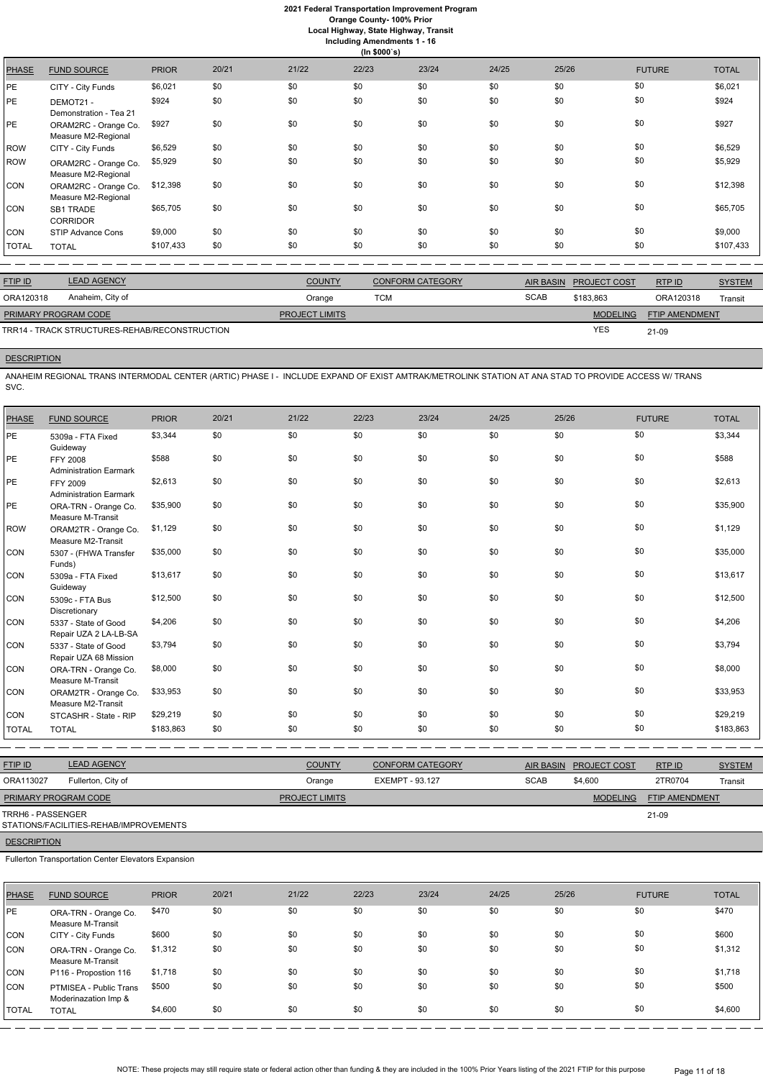**Orange County- 100% Prior**

**Local Highway, State Highway, Transit**

| Including Amendments 1 - 16 |  |  |
|-----------------------------|--|--|
| (ln \$000's)                |  |  |

|              |                                             |              |       |       | $\cdots$ |       |       |       |               |              |
|--------------|---------------------------------------------|--------------|-------|-------|----------|-------|-------|-------|---------------|--------------|
| <b>PHASE</b> | <b>FUND SOURCE</b>                          | <b>PRIOR</b> | 20/21 | 21/22 | 22/23    | 23/24 | 24/25 | 25/26 | <b>FUTURE</b> | <b>TOTAL</b> |
| PE           | CITY - City Funds                           | \$6,021      | \$0   | \$0   | \$0      | \$0   | \$0   | \$0   | \$0           | \$6,021      |
| PE           | DEMOT21-<br>Demonstration - Tea 21          | \$924        | \$0   | \$0   | \$0      | \$0   | \$0   | \$0   | \$0           | \$924        |
| PE           | ORAM2RC - Orange Co.<br>Measure M2-Regional | \$927        | \$0   | \$0   | \$0      | \$0   | \$0   | \$0   | \$0           | \$927        |
| <b>ROW</b>   | CITY - City Funds                           | \$6,529      | \$0   | \$0   | \$0      | \$0   | \$0   | \$0   | \$0           | \$6,529      |
| <b>ROW</b>   | ORAM2RC - Orange Co.<br>Measure M2-Regional | \$5,929      | \$0   | \$0   | \$0      | \$0   | \$0   | \$0   | \$0           | \$5,929      |
| <b>CON</b>   | ORAM2RC - Orange Co.<br>Measure M2-Regional | \$12,398     | \$0   | \$0   | \$0      | \$0   | \$0   | \$0   | \$0           | \$12,398     |
| CON          | <b>SB1 TRADE</b><br><b>CORRIDOR</b>         | \$65,705     | \$0   | \$0   | \$0      | \$0   | \$0   | \$0   | \$0           | \$65,705     |
| <b>CON</b>   | STIP Advance Cons                           | \$9,000      | \$0   | \$0   | \$0      | \$0   | \$0   | \$0   | \$0           | \$9,000      |
| <b>TOTAL</b> | <b>TOTAL</b>                                | \$107,433    | \$0   | \$0   | \$0      | \$0   | \$0   | \$0   | \$0           | \$107,433    |

| <b>FTIP ID</b>              | <b>LEAD AGENCY</b>                            | <b>COUNTY</b>         | <b>CONFORM CATEGORY</b> |             | AIR BASIN PROJECT COST | RTP ID                | <b>SYSTEM</b> |
|-----------------------------|-----------------------------------------------|-----------------------|-------------------------|-------------|------------------------|-----------------------|---------------|
| ORA120318                   | Anaheim, City of                              | Orange                | TCM                     | <b>SCAB</b> | \$183.863              | ORA120318             | Transit       |
| <b>PRIMARY PROGRAM CODE</b> |                                               | <b>PROJECT LIMITS</b> |                         |             | <b>MODELING</b>        | <b>FTIP AMENDMENT</b> |               |
|                             | TRR14 - TRACK STRUCTURES-REHAB/RECONSTRUCTION |                       |                         |             | <b>YES</b>             | 21-09                 |               |

# **DESCRIPTION**

ANAHEIM REGIONAL TRANS INTERMODAL CENTER (ARTIC) PHASE I - INCLUDE EXPAND OF EXIST AMTRAK/METROLINK STATION AT ANA STAD TO PROVIDE ACCESS W/ TRANS SVC.

| <b>PHASE</b> | <b>FUND SOURCE</b>                               | <b>PRIOR</b> | 20/21 | 21/22 | 22/23 | 23/24 | 24/25 | 25/26 | <b>FUTURE</b> | <b>TOTAL</b> |
|--------------|--------------------------------------------------|--------------|-------|-------|-------|-------|-------|-------|---------------|--------------|
| PE           | 5309a - FTA Fixed<br>Guideway                    | \$3,344      | \$0   | \$0   | \$0   | \$0   | \$0   | \$0   | \$0           | \$3,344      |
| PE           | <b>FFY 2008</b><br><b>Administration Earmark</b> | \$588        | \$0   | \$0   | \$0   | \$0   | \$0   | \$0   | \$0           | \$588        |
| PE           | FFY 2009<br><b>Administration Earmark</b>        | \$2,613      | \$0   | \$0   | \$0   | \$0   | \$0   | \$0   | \$0           | \$2,613      |
| PE           | ORA-TRN - Orange Co.<br>Measure M-Transit        | \$35,900     | \$0   | \$0   | \$0   | \$0   | \$0   | \$0   | \$0           | \$35,900     |
| <b>ROW</b>   | ORAM2TR - Orange Co.<br>Measure M2-Transit       | \$1,129      | \$0   | \$0   | \$0   | \$0   | \$0   | \$0   | \$0           | \$1,129      |
| CON          | 5307 - (FHWA Transfer<br>Funds)                  | \$35,000     | \$0   | \$0   | \$0   | \$0   | \$0   | \$0   | \$0           | \$35,000     |
| CON          | 5309a - FTA Fixed<br>Guideway                    | \$13,617     | \$0   | \$0   | \$0   | \$0   | \$0   | \$0   | \$0           | \$13,617     |
| CON          | 5309c - FTA Bus<br>Discretionary                 | \$12,500     | \$0   | \$0   | \$0   | \$0   | \$0   | \$0   | \$0           | \$12,500     |
| CON          | 5337 - State of Good<br>Repair UZA 2 LA-LB-SA    | \$4,206      | \$0   | \$0   | \$0   | \$0   | \$0   | \$0   | \$0           | \$4,206      |
| CON          | 5337 - State of Good<br>Repair UZA 68 Mission    | \$3,794      | \$0   | \$0   | \$0   | \$0   | \$0   | \$0   | \$0           | \$3,794      |
| CON          | ORA-TRN - Orange Co.<br>Measure M-Transit        | \$8,000      | \$0   | \$0   | \$0   | \$0   | \$0   | \$0   | \$0           | \$8,000      |
| CON          | ORAM2TR - Orange Co.<br>Measure M2-Transit       | \$33,953     | \$0   | \$0   | \$0   | \$0   | \$0   | \$0   | \$0           | \$33,953     |
| CON          | STCASHR - State - RIP                            | \$29,219     | \$0   | \$0   | \$0   | \$0   | \$0   | \$0   | \$0           | \$29,219     |
| <b>TOTAL</b> | <b>TOTAL</b>                                     | \$183,863    | \$0   | \$0   | \$0   | \$0   | \$0   | \$0   | \$0           | \$183,863    |
|              |                                                  |              |       |       |       |       |       |       |               |              |

| <b>FTIP ID</b>              | <b>LEAD AGENCY</b> | <b>COUNTY</b>         | <b>CONFORM CATEGORY</b> | AIR BASIN   | <b>PROJECT COST</b> | RTPID                 | <b>SYSTEM</b> |
|-----------------------------|--------------------|-----------------------|-------------------------|-------------|---------------------|-----------------------|---------------|
| ORA113027                   | Fullerton, City of | Orange                | EXEMPT - 93.127         | <b>SCAB</b> | \$4,600             | 2TR0704               | Transit       |
| <b>PRIMARY PROGRAM CODE</b> |                    | <b>PROJECT LIMITS</b> |                         |             | <b>MODELING</b>     | <b>FTIP AMENDMENT</b> |               |
| TRRH6 - PASSENGER           |                    |                       |                         |             |                     | 21-09                 |               |

# STATIONS/FACILITIES-REHAB/IMPROVEMENTS

# **DESCRIPTION**

Fullerton Transportation Center Elevators Expansion

| <b>PHASE</b> | <b>FUND SOURCE</b>                             | <b>PRIOR</b> | 20/21 | 21/22 | 22/23 | 23/24 | 24/25 | 25/26 | <b>FUTURE</b> | <b>TOTAL</b> |
|--------------|------------------------------------------------|--------------|-------|-------|-------|-------|-------|-------|---------------|--------------|
| <b>PE</b>    | ORA-TRN - Orange Co.<br>Measure M-Transit      | \$470        | \$0   | \$0   | \$0   | \$0   | \$0   | \$0   | \$0           | \$470        |
| <b>CON</b>   | CITY - City Funds                              | \$600        | \$0   | \$0   | \$0   | \$0   | \$0   | \$0   | \$0           | \$600        |
| <b>CON</b>   | ORA-TRN - Orange Co.<br>Measure M-Transit      | \$1,312      | \$0   | \$0   | \$0   | \$0   | \$0   | \$0   | \$0           | \$1,312      |
| CON          | P116 - Propostion 116                          | \$1,718      | \$0   | \$0   | \$0   | \$0   | \$0   | \$0   | \$0           | \$1,718      |
| <b>CON</b>   | PTMISEA - Public Trans<br>Moderinazation Imp & | \$500        | \$0   | \$0   | \$0   | \$0   | \$0   | \$0   | \$0           | \$500        |
| <b>TOTAL</b> | <b>TOTAL</b>                                   | \$4,600      | \$0   | \$0   | \$0   | \$0   | \$0   | \$0   | \$0           | \$4,600      |

NOTE: These projects may still require state or federal action other than funding & they are included in the 100% Prior Years listing of the 2021 FTIP for this purpose Page 11 of 18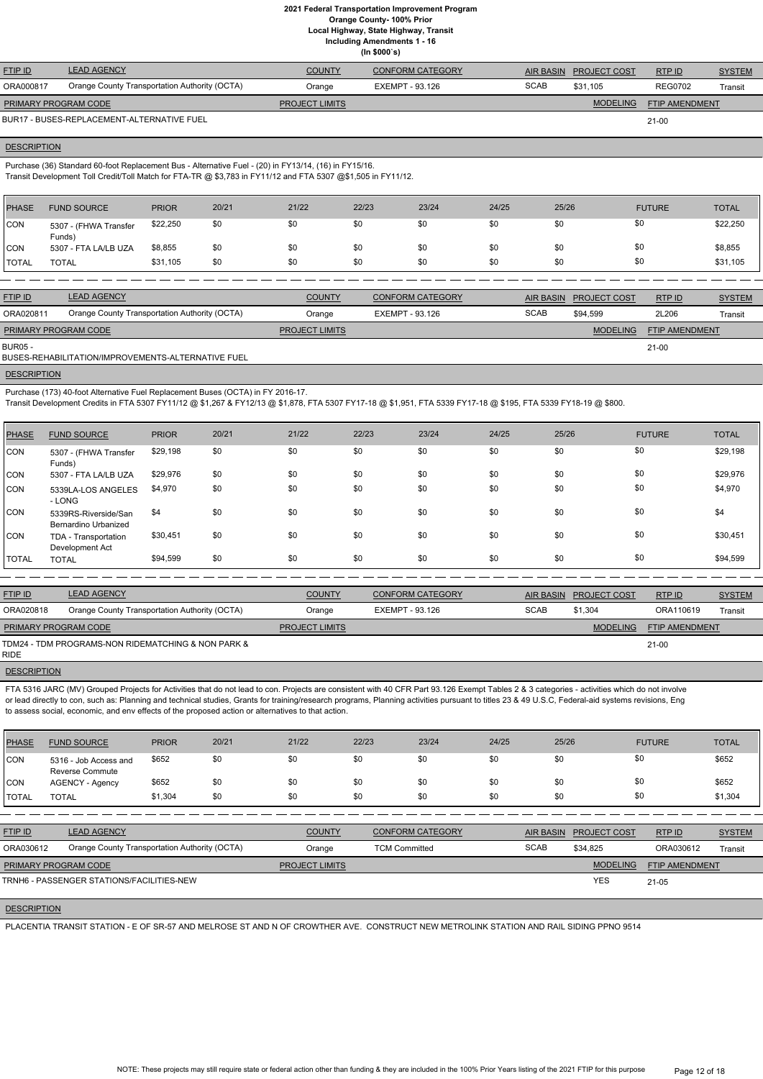**Local Highway, State Highway, Transit Including Amendments 1 - 16**

**(In \$000`s)**

| <b>FTIP ID</b>       | <b>LEAD AGENCY</b>                            | <b>COUNTY</b>         | <b>CONFORM CATEGORY</b> |             | AIR BASIN PROJECT COST | RTP ID                | <b>SYSTEM</b> |
|----------------------|-----------------------------------------------|-----------------------|-------------------------|-------------|------------------------|-----------------------|---------------|
| ORA000817            | Orange County Transportation Authority (OCTA) | Orange                | EXEMPT - 93.126         | <b>SCAB</b> | \$31.105               | <b>REG0702</b>        | Transit       |
| PRIMARY PROGRAM CODE |                                               | <b>PROJECT LIMITS</b> |                         |             | MODELING               | <b>FTIP AMENDMENT</b> |               |
|                      | BUR17 - BUSES-REPLACEMENT-ALTERNATIVE FUEL    |                       |                         |             |                        | $21 - 00$             |               |

# **DESCRIPTION**

Purchase (36) Standard 60-foot Replacement Bus - Alternative Fuel - (20) in FY13/14, (16) in FY15/16. Transit Development Toll Credit/Toll Match for FTA-TR @ \$3,783 in FY11/12 and FTA 5307 @\$1,505 in FY11/12.

| \$22,250<br> CON<br>\$0<br>\$0<br>\$0<br>\$22,250<br>\$0<br>\$0<br>\$0<br>\$0<br>5307 - (FHWA Transfer<br>Funds)<br>\$0<br>\$0<br>\$8,855<br><b>CON</b><br>\$0<br>\$0<br>\$8,855<br>\$0<br>\$0<br>5307 - FTA LA/LB UZA<br>\$0<br>\$0<br>\$31,105<br>\$0<br>\$0<br>\$31,105<br>\$0<br>\$0<br>\$0<br>\$0<br><b>TOTAL</b><br><b>TOTAL</b> | <b>PHASE</b> | <b>FUND SOURCE</b> | <b>PRIOR</b> | 20/21 | 21/22 | 22/23 | 23/24 | 24/25 | 25/26 | <b>FUTURE</b> | <b>TOTAL</b> |
|----------------------------------------------------------------------------------------------------------------------------------------------------------------------------------------------------------------------------------------------------------------------------------------------------------------------------------------|--------------|--------------------|--------------|-------|-------|-------|-------|-------|-------|---------------|--------------|
|                                                                                                                                                                                                                                                                                                                                        |              |                    |              |       |       |       |       |       |       |               |              |
|                                                                                                                                                                                                                                                                                                                                        |              |                    |              |       |       |       |       |       |       |               |              |
|                                                                                                                                                                                                                                                                                                                                        |              |                    |              |       |       |       |       |       |       |               |              |

| <b>FTIP ID</b>              | <b>LEAD AGENCY</b>                            | <b>COUNTY</b>         | <b>CONFORM CATEGORY</b> |             | AIR BASIN PROJECT COST | <b>RTPID</b>          | <b>SYSTEM</b> |
|-----------------------------|-----------------------------------------------|-----------------------|-------------------------|-------------|------------------------|-----------------------|---------------|
| ORA020811                   | Orange County Transportation Authority (OCTA) | Orange                | EXEMPT - 93.126         | <b>SCAB</b> | \$94.599               | 2L206                 | Transit       |
| <b>PRIMARY PROGRAM CODE</b> |                                               | <b>PROJECT LIMITS</b> |                         |             | <b>MODELING</b>        | <b>FTIP AMENDMENT</b> |               |
| BUR05 -                     |                                               |                       |                         |             |                        | $21 - 00$             |               |

21-00

# **DESCRIPTION**

BUSES-REHABILITATION/IMPROVEMENTS-ALTERNATIVE FUEL

Purchase (173) 40-foot Alternative Fuel Replacement Buses (OCTA) in FY 2016-17.

FTA 5316 JARC (MV) Grouped Projects for Activities that do not lead to con. Projects are consistent with 40 CFR Part 93.126 Exempt Tables 2 & 3 categories - activities which do not involve or lead directly to con, such as: Planning and technical studies, Grants for training/research programs, Planning activities pursuant to titles 23 & 49 U.S.C, Federal-aid systems revisions, Eng to assess social, economic, and env effects of the proposed action or alternatives to that action.

Transit Development Credits in FTA 5307 FY11/12 @ \$1,267 & FY12/13 @ \$1,878, FTA 5307 FY17-18 @ \$1,951, FTA 5339 FY17-18 @ \$195, FTA 5339 FY18-19 @ \$800.

| <b>PHASE</b> | <b>FUND SOURCE</b>                           | <b>PRIOR</b> | 20/21 | 21/22 | 22/23 | 23/24 | 24/25 | 25/26 | <b>FUTURE</b> | <b>TOTAL</b> |
|--------------|----------------------------------------------|--------------|-------|-------|-------|-------|-------|-------|---------------|--------------|
| <b>CON</b>   | 5307 - (FHWA Transfer<br>Funds)              | \$29,198     | \$0   | \$0   | \$0   | \$0   | \$0   | \$0   | \$0           | \$29,198     |
| CON          | 5307 - FTA LA/LB UZA                         | \$29,976     | \$0   | \$0   | \$0   | \$0   | \$0   | \$0   | \$0           | \$29,976     |
| <b>CON</b>   | 5339LA-LOS ANGELES<br>- LONG                 | \$4,970      | \$0   | \$0   | \$0   | \$0   | \$0   | \$0   | \$0           | \$4,970      |
| CON          | 5339RS-Riverside/San<br>Bernardino Urbanized | \$4          | \$0   | \$0   | \$0   | \$0   | \$0   | \$0   | \$0           | \$4          |
| <b>CON</b>   | TDA - Transportation<br>Development Act      | \$30,451     | \$0   | \$0   | \$0   | \$0   | \$0   | \$0   | \$0           | \$30,451     |
| <b>TOTAL</b> | <b>TOTAL</b>                                 | \$94,599     | \$0   | \$0   | \$0   | \$0   | \$0   | \$0   | \$0           | \$94,599     |

| <b>FTIP ID</b>              | <b>LEAD AGENCY</b>                                 | <b>COUNTY</b>         | CONFORM CATEGORY | AIR BASIN   | <b>PROJECT COST</b> | RTPID          | <b>SYSTEM</b> |
|-----------------------------|----------------------------------------------------|-----------------------|------------------|-------------|---------------------|----------------|---------------|
| ORA020818                   | Orange County Transportation Authority (OCTA)      | Orange                | EXEMPT - 93.126  | <b>SCAB</b> | \$1.304             | ORA110619      | Transit       |
| <b>PRIMARY PROGRAM CODE</b> |                                                    | <b>PROJECT LIMITS</b> |                  |             | <b>MODELING</b>     | FTIP AMENDMENT |               |
| <b>RIDE</b>                 | TDM24 - TDM PROGRAMS-NON RIDEMATCHING & NON PARK & |                       |                  |             |                     | 21-00          |               |

**DESCRIPTION** 

| <b>PHASE</b> | <b>FUND SOURCE</b>                              | <b>PRIOR</b> | 20/21 | 21/22 | 22/23 | 23/24 | 24/25 | 25/26 | <b>FUTURE</b> | <b>TOTAL</b> |
|--------------|-------------------------------------------------|--------------|-------|-------|-------|-------|-------|-------|---------------|--------------|
| CON          | 5316 - Job Access and<br><b>Reverse Commute</b> | \$652        | \$0   | \$0   | \$0   | \$0   | \$0   | \$0   | \$0           | \$652        |
| CON          | <b>AGENCY - Agency</b>                          | \$652        | \$0   | \$0   | \$0   | \$0   | \$0   | \$0   | \$0           | \$652        |
| <b>TOTAL</b> | <b>TOTAL</b>                                    | \$1,304      | \$0   | \$0   | \$0   | \$0   | \$0   | \$0   | \$0           | \$1,304      |

| <b>FTIP ID</b>              | <b>LEAD AGENCY</b>                            | <b>COUNTY</b>         | CONFORM CATEGORY     | <b>AIR BASIN</b> | <b>PROJECT COST</b> | RTPID                 | <b>SYSTEM</b> |
|-----------------------------|-----------------------------------------------|-----------------------|----------------------|------------------|---------------------|-----------------------|---------------|
| ORA030612                   | Orange County Transportation Authority (OCTA) | Orange                | <b>TCM Committed</b> | <b>SCAB</b>      | \$34.825            | ORA030612             | Transit       |
| <b>PRIMARY PROGRAM CODE</b> |                                               | <b>PROJECT LIMITS</b> |                      |                  | <b>MODELING</b>     | <b>FTIP AMENDMENT</b> |               |
|                             | TRNH6 - PASSENGER STATIONS/FACILITIES-NEW     |                       |                      |                  | <b>YES</b>          | $21 - 05$             |               |

# **DESCRIPTION**

PLACENTIA TRANSIT STATION - E OF SR-57 AND MELROSE ST AND N OF CROWTHER AVE. CONSTRUCT NEW METROLINK STATION AND RAIL SIDING PPNO 9514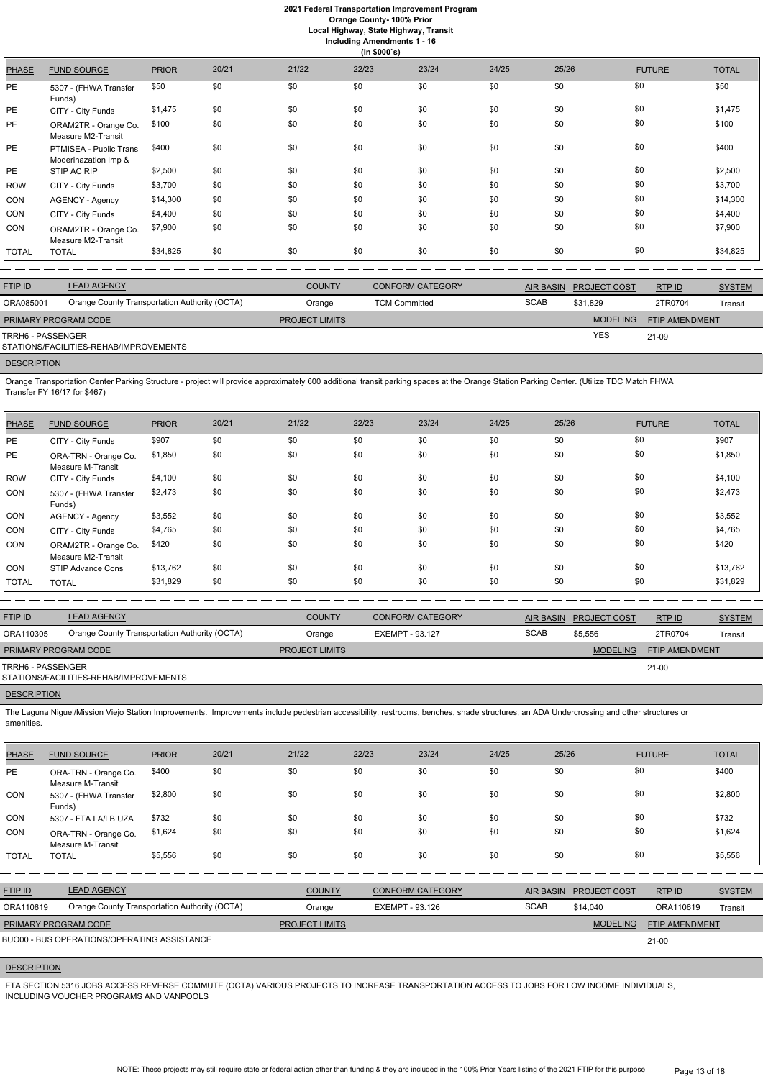**Orange County- 100% Prior**

**Local Highway, State Highway, Transit**

| <b>Including Amendments 1 - 16</b> |  |
|------------------------------------|--|
| (ln \$000's)                       |  |

| <b>PHASE</b> | <b>FUND SOURCE</b>                             | <b>PRIOR</b> | 20/21 | 21/22 | 22/23 | 23/24 | 24/25 | 25/26 | <b>FUTURE</b> | <b>TOTAL</b> |
|--------------|------------------------------------------------|--------------|-------|-------|-------|-------|-------|-------|---------------|--------------|
| PE           | 5307 - (FHWA Transfer<br>Funds)                | \$50         | \$0   | \$0   | \$0   | \$0   | \$0   | \$0   | \$0           | \$50         |
| PE           | CITY - City Funds                              | \$1,475      | \$0   | \$0   | \$0   | \$0   | \$0   | \$0   | \$0           | \$1,475      |
| PE           | ORAM2TR - Orange Co.<br>Measure M2-Transit     | \$100        | \$0   | \$0   | \$0   | \$0   | \$0   | \$0   | \$0           | \$100        |
| PE           | PTMISEA - Public Trans<br>Moderinazation Imp & | \$400        | \$0   | \$0   | \$0   | \$0   | \$0   | \$0   | \$0           | \$400        |
| PE           | STIP AC RIP                                    | \$2,500      | \$0   | \$0   | \$0   | \$0   | \$0   | \$0   | \$0           | \$2,500      |
| <b>ROW</b>   | CITY - City Funds                              | \$3,700      | \$0   | \$0   | \$0   | \$0   | \$0   | \$0   | \$0           | \$3,700      |
| <b>CON</b>   | AGENCY - Agency                                | \$14,300     | \$0   | \$0   | \$0   | \$0   | \$0   | \$0   | \$0           | \$14,300     |
| <b>CON</b>   | CITY - City Funds                              | \$4,400      | \$0   | \$0   | \$0   | \$0   | \$0   | \$0   | \$0           | \$4,400      |
| <b>CON</b>   | ORAM2TR - Orange Co.<br>Measure M2-Transit     | \$7,900      | \$0   | \$0   | \$0   | \$0   | \$0   | \$0   | \$0           | \$7,900      |
| <b>TOTAL</b> | <b>TOTAL</b>                                   | \$34,825     | \$0   | \$0   | \$0   | \$0   | \$0   | \$0   | \$0           | \$34,825     |

| <b>FTIP ID</b>              | <b>LEAD AGENCY</b>                            | <b>COUNTY</b>         | CONFORM CATEGORY     | AIR BASIN   | <b>PROJECT COST</b> | RTP ID         | <b>SYSTEM</b> |
|-----------------------------|-----------------------------------------------|-----------------------|----------------------|-------------|---------------------|----------------|---------------|
| ORA085001                   | Orange County Transportation Authority (OCTA) | Orange                | <b>TCM Committed</b> | <b>SCAB</b> | \$31.829            | 2TR0704        | Transit       |
| <b>PRIMARY PROGRAM CODE</b> |                                               | <b>PROJECT LIMITS</b> |                      |             | <b>MODELING</b>     | FTIP AMENDMENT |               |
| TRRH6 - PASSENGER           | STATIONS/FACILITIES-REHAB/IMPROVEMENTS        |                       |                      |             | <b>YES</b>          | 21-09          |               |

**DESCRIPTION** 

Orange Transportation Center Parking Structure - project will provide approximately 600 additional transit parking spaces at the Orange Station Parking Center. (Utilize TDC Match FHWA Transfer FY 16/17 for \$467)

| PHASE        | <b>FUND SOURCE</b>                         | <b>PRIOR</b> | 20/21 | 21/22 | 22/23 | 23/24 | 24/25 | 25/26 | <b>FUTURE</b> | <b>TOTAL</b> |
|--------------|--------------------------------------------|--------------|-------|-------|-------|-------|-------|-------|---------------|--------------|
| <b>PE</b>    | CITY - City Funds                          | \$907        | \$0   | \$0   | \$0   | \$0   | \$0   | \$0   | \$0           | \$907        |
| <b>PE</b>    | ORA-TRN - Orange Co.<br>Measure M-Transit  | \$1,850      | \$0   | \$0   | \$0   | \$0   | \$0   | \$0   | \$0           | \$1,850      |
| ROW          | CITY - City Funds                          | \$4,100      | \$0   | \$0   | \$0   | \$0   | \$0   | \$0   | \$0           | \$4,100      |
| CON          | 5307 - (FHWA Transfer<br>Funds)            | \$2,473      | \$0   | \$0   | \$0   | \$0   | \$0   | \$0   | \$0           | \$2,473      |
| CON          | <b>AGENCY - Agency</b>                     | \$3,552      | \$0   | \$0   | \$0   | \$0   | \$0   | \$0   | \$0           | \$3,552      |
| CON          | CITY - City Funds                          | \$4,765      | \$0   | \$0   | \$0   | \$0   | \$0   | \$0   | \$0           | \$4,765      |
| CON          | ORAM2TR - Orange Co.<br>Measure M2-Transit | \$420        | \$0   | \$0   | \$0   | \$0   | \$0   | \$0   | \$0           | \$420        |
| <b>CON</b>   | STIP Advance Cons                          | \$13,762     | \$0   | \$0   | \$0   | \$0   | \$0   | \$0   | \$0           | \$13,762     |
| <b>TOTAL</b> | <b>TOTAL</b>                               | \$31,829     | \$0   | \$0   | \$0   | \$0   | \$0   | \$0   | \$0           | \$31,829     |

| <b>FTIP ID</b>       | <b>LEAD AGENCY</b>                            | <b>COUNTY</b>         | <b>CONFORM CATEGORY</b> |             | AIR BASIN PROJECT COST | RTP ID         | <b>SYSTEM</b> |
|----------------------|-----------------------------------------------|-----------------------|-------------------------|-------------|------------------------|----------------|---------------|
| ORA110305            | Orange County Transportation Authority (OCTA) | Orange                | EXEMPT - 93.127         | <b>SCAB</b> | \$5,556                | 2TR0704        | Transit       |
| PRIMARY PROGRAM CODE |                                               | <b>PROJECT LIMITS</b> |                         |             | <b>MODELING</b>        | FTIP AMENDMENT |               |
| TRRH6 - PASSENGER    | STATIONS/FACILITIES-REHAB/IMPROVEMENTS        |                       |                         |             |                        | $21 - 00$      |               |
| <b>DESCRIPTION</b>   |                                               |                       |                         |             |                        |                |               |

The Laguna Niguel/Mission Viejo Station Improvements. Improvements include pedestrian accessibility, restrooms, benches, shade structures, an ADA Undercrossing and other structures or amenities.

| <b>PHASE</b>   | <b>FUND SOURCE</b>                            | <b>PRIOR</b> | 20/21 | 21/22                 | 22/23                  | 23/24                   | 24/25 | 25/26            |                     | <b>FUTURE</b>         | <b>TOTAL</b>  |
|----------------|-----------------------------------------------|--------------|-------|-----------------------|------------------------|-------------------------|-------|------------------|---------------------|-----------------------|---------------|
| <b>IPE</b>     | ORA-TRN - Orange Co.<br>Measure M-Transit     | \$400        | \$0   | \$0                   | \$0                    | \$0                     | \$0   | \$0              | \$0                 |                       | \$400         |
| <b>CON</b>     | 5307 - (FHWA Transfer<br>Funds)               | \$2,800      | \$0   | \$0                   | \$0                    | \$0                     | \$0   | \$0              | \$0                 |                       | \$2,800       |
| CON            | 5307 - FTA LA/LB UZA                          | \$732        | \$0   | \$0                   | \$0                    | \$0                     | \$0   | \$0              | \$0                 |                       | \$732         |
| CON            | ORA-TRN - Orange Co.<br>Measure M-Transit     | \$1,624      | \$0   | \$0                   | \$0                    | \$0                     | \$0   | \$0              | \$0                 |                       | \$1,624       |
| <b>TOTAL</b>   | <b>TOTAL</b>                                  | \$5,556      | \$0   | \$0                   | \$0                    | \$0                     | \$0   | \$0              | \$0                 |                       | \$5,556       |
|                |                                               |              |       |                       |                        |                         |       |                  |                     |                       |               |
| <b>FTIP ID</b> | <b>LEAD AGENCY</b>                            |              |       | <b>COUNTY</b>         |                        | <b>CONFORM CATEGORY</b> |       | <b>AIR BASIN</b> | <b>PROJECT COST</b> | RTP ID                | <b>SYSTEM</b> |
| ORA110619      | Orange County Transportation Authority (OCTA) |              |       | Orange                | <b>EXEMPT - 93.126</b> |                         |       | <b>SCAB</b>      | \$14,040            | ORA110619             | Transit       |
|                | PRIMARY PROGRAM CODE                          |              |       | <b>PROJECT LIMITS</b> |                        |                         |       |                  | <b>MODELING</b>     | <b>FTIP AMENDMENT</b> |               |
|                | BUO00 - BUS OPERATIONS/OPERATING ASSISTANCE   |              |       |                       |                        |                         |       |                  |                     | $21 - 00$             |               |

# **DESCRIPTION**

FTA SECTION 5316 JOBS ACCESS REVERSE COMMUTE (OCTA) VARIOUS PROJECTS TO INCREASE TRANSPORTATION ACCESS TO JOBS FOR LOW INCOME INDIVIDUALS, INCLUDING VOUCHER PROGRAMS AND VANPOOLS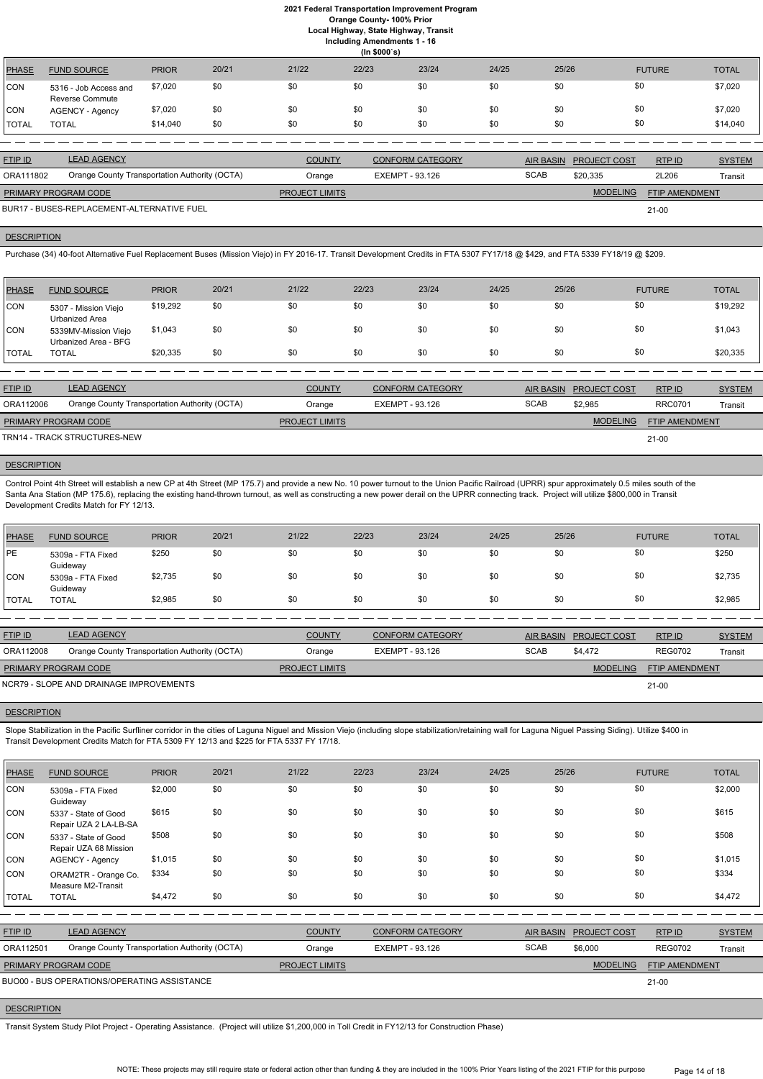**Local Highway, State Highway, Transit**

**Including Amendments 1 - 16**

|              | (ln \$000's)                                    |              |       |       |       |       |       |       |               |              |  |  |
|--------------|-------------------------------------------------|--------------|-------|-------|-------|-------|-------|-------|---------------|--------------|--|--|
| PHASE        | <b>FUND SOURCE</b>                              | <b>PRIOR</b> | 20/21 | 21/22 | 22/23 | 23/24 | 24/25 | 25/26 | <b>FUTURE</b> | <b>TOTAL</b> |  |  |
| CON          | 5316 - Job Access and<br><b>Reverse Commute</b> | \$7,020      | \$0   | \$0   | \$0   | \$0   | \$0   | \$0   | \$0           | \$7,020      |  |  |
| <b>CON</b>   | AGENCY - Agency                                 | \$7,020      | \$0   | \$0   | \$0   | \$0   | \$0   | \$0   | \$0           | \$7,020      |  |  |
| <b>TOTAL</b> | <b>TOTAL</b>                                    | \$14,040     | \$0   | \$0   | \$0   | \$0   | \$0   | \$0   | \$0           | \$14,040     |  |  |

| <b>FTIP ID</b>              | <b>LEAD AGENCY</b>                            | <b>COUNTY</b>         | <b>CONFORM CATEGORY</b> |             | AIR BASIN PROJECT COST | RTP ID                | <b>SYSTEM</b> |
|-----------------------------|-----------------------------------------------|-----------------------|-------------------------|-------------|------------------------|-----------------------|---------------|
| ORA111802                   | Orange County Transportation Authority (OCTA) | Orange                | EXEMPT - 93.126         | <b>SCAB</b> | \$20.335               | 2L206                 | Transit       |
| <b>PRIMARY PROGRAM CODE</b> |                                               | <b>PROJECT LIMITS</b> |                         |             | <b>MODELING</b>        | <b>FTIP AMENDMENT</b> |               |
|                             | BUR17 - BUSES-REPLACEMENT-ALTERNATIVE FUEL    |                       |                         |             |                        | $21 - 00$             |               |

# **DESCRIPTION**

Purchase (34) 40-foot Alternative Fuel Replacement Buses (Mission Viejo) in FY 2016-17. Transit Development Credits in FTA 5307 FY17/18 @ \$429, and FTA 5339 FY18/19 @ \$209.

Control Point 4th Street will establish a new CP at 4th Street (MP 175.7) and provide a new No. 10 power turnout to the Union Pacific Railroad (UPRR) spur approximately 0.5 miles south of the Santa Ana Station (MP 175.6), replacing the existing hand-thrown turnout, as well as constructing a new power derail on the UPRR connecting track. Project will utilize \$800,000 in Transit Development Credits Match for FY 12/13.

| <b>PHASE</b> | <b>FUND SOURCE</b>                           | <b>PRIOR</b> | 20/21 | 21/22 | 22/23 | 23/24 | 24/25 | 25/26 | <b>FUTURE</b> | <b>TOTAL</b> |
|--------------|----------------------------------------------|--------------|-------|-------|-------|-------|-------|-------|---------------|--------------|
| CON          | 5307 - Mission Viejo<br>Urbanized Area       | \$19,292     | \$0   | \$0   | \$0   | \$0   | \$0   | \$0   | \$0           | \$19,292     |
| <b>ICON</b>  | 5339MV-Mission Viejo<br>Urbanized Area - BFG | \$1,043      | \$0   | \$0   | \$0   | \$0   | \$0   |       | \$0           | \$1,043      |
| <b>TOTAL</b> | <b>TOTAL</b>                                 | \$20,335     | \$0   | \$0   | \$0   | \$0   | \$0   | \$0   | \$0           | \$20,335     |

| <b>FTIP ID</b>              | <b>LEAD AGENCY</b>                            | <b>COUNTY</b>         | <b>CONFORM CATEGORY</b> | <b>AIR BASIN</b> | <b>PROJECT COST</b> | RTP ID                | <b>SYSTEM</b> |
|-----------------------------|-----------------------------------------------|-----------------------|-------------------------|------------------|---------------------|-----------------------|---------------|
| ORA112006                   | Orange County Transportation Authority (OCTA) | Orange                | EXEMPT - 93.126         | <b>SCAB</b>      | \$2.985             | <b>RRC0701</b>        | Transit       |
| <b>PRIMARY PROGRAM CODE</b> |                                               | <b>PROJECT LIMITS</b> |                         |                  | <b>MODELING</b>     | <b>FTIP AMENDMENT</b> |               |
|                             | TRN14 - TRACK STRUCTURES-NEW                  |                       |                         |                  |                     | $21-00$               |               |

# **DESCRIPTION**

Slope Stabilization in the Pacific Surfliner corridor in the cities of Laguna Niguel and Mission Viejo (including slope stabilization/retaining wall for Laguna Niguel Passing Siding). Utilize \$400 in Transit Development Credits Match for FTA 5309 FY 12/13 and \$225 for FTA 5337 FY 17/18.

| PHASE        | <b>FUND SOURCE</b>            | <b>PRIOR</b> | 20/21 | 21/22 | 22/23 | 23/24 | 24/25 | 25/26 | <b>FUTURE</b> | <b>TOTAL</b> |
|--------------|-------------------------------|--------------|-------|-------|-------|-------|-------|-------|---------------|--------------|
| PE           | 5309a - FTA Fixed<br>Guideway | \$250        | \$0   | \$0   | \$0   | \$0   | \$0   | \$0   | \$0           | \$250        |
| <b>CON</b>   | 5309a - FTA Fixed<br>Guideway | \$2,735      | \$0   | \$0   | \$0   | \$0   | \$0   | \$0   | \$0           | \$2,735      |
| <b>TOTAL</b> | <b>TOTAL</b>                  | \$2,985      | \$0   | \$0   | \$0   | \$0   | \$0   | \$0   |               | \$2,985      |

| <b>FTIP ID</b>                          | <b>LEAD AGENCY</b>                            | <b>COUNTY</b>         | <b>CONFORM CATEGORY</b> |             | AIR BASIN PROJECT COST | RTPID                 | <b>SYSTEM</b> |
|-----------------------------------------|-----------------------------------------------|-----------------------|-------------------------|-------------|------------------------|-----------------------|---------------|
| ORA112008                               | Orange County Transportation Authority (OCTA) | Orange                | EXEMPT - 93.126         | <b>SCAB</b> | \$4.472                | <b>REG0702</b>        | Transit       |
| <b>PRIMARY PROGRAM CODE</b>             |                                               | <b>PROJECT LIMITS</b> |                         |             | <b>MODELING</b>        | <b>FTIP AMENDMENT</b> |               |
| NCR79 - SLOPE AND DRAINAGE IMPROVEMENTS |                                               |                       |                         |             |                        | $21 - 00$             |               |

#### **DESCRIPTION**

| <b>PHASE</b>   | <b>FUND SOURCE</b>                            | <b>PRIOR</b> | 20/21 | 21/22                 | 22/23                  | 23/24                   | 24/25 | 25/26            |                     | <b>FUTURE</b>         | <b>TOTAL</b>  |
|----------------|-----------------------------------------------|--------------|-------|-----------------------|------------------------|-------------------------|-------|------------------|---------------------|-----------------------|---------------|
| <b>CON</b>     | 5309a - FTA Fixed<br>Guideway                 | \$2,000      | \$0   | \$0                   | \$0                    | \$0                     | \$0   | \$0              |                     | \$0                   | \$2,000       |
| CON            | 5337 - State of Good<br>Repair UZA 2 LA-LB-SA | \$615        | \$0   | \$0                   | \$0                    | \$0                     | \$0   | \$0              |                     | \$0                   | \$615         |
| CON            | 5337 - State of Good<br>Repair UZA 68 Mission | \$508        | \$0   | \$0                   | \$0                    | \$0                     | \$0   | \$0              |                     | \$0                   | \$508         |
| CON            | <b>AGENCY - Agency</b>                        | \$1,015      | \$0   | \$0                   | \$0                    | \$0                     | \$0   | \$0              |                     | \$0                   | \$1,015       |
| <b>CON</b>     | ORAM2TR - Orange Co.<br>Measure M2-Transit    | \$334        | \$0   | \$0                   | \$0                    | \$0                     | \$0   | \$0              |                     | \$0                   | \$334         |
| <b>TOTAL</b>   | <b>TOTAL</b>                                  | \$4,472      | \$0   | \$0                   | \$0                    | \$0                     | \$0   | \$0              |                     | \$0                   | \$4,472       |
|                |                                               |              |       |                       |                        |                         |       |                  |                     |                       |               |
| <b>FTIP ID</b> | <b>LEAD AGENCY</b>                            |              |       | <b>COUNTY</b>         |                        | <b>CONFORM CATEGORY</b> |       | <b>AIR BASIN</b> | <b>PROJECT COST</b> | RTP ID                | <b>SYSTEM</b> |
| ORA112501      | Orange County Transportation Authority (OCTA) |              |       | Orange                | <b>EXEMPT - 93.126</b> |                         |       | <b>SCAB</b>      | \$6,000             | <b>REG0702</b>        | Transit       |
|                | PRIMARY PROGRAM CODE                          |              |       | <b>PROJECT LIMITS</b> |                        |                         |       |                  | <b>MODELING</b>     | <b>FTIP AMENDMENT</b> |               |
|                | BUO00 - BUS OPERATIONS/OPERATING ASSISTANCE   |              |       |                       |                        |                         |       |                  |                     | $21 - 00$             |               |

#### **DESCRIPTION**

Transit System Study Pilot Project - Operating Assistance. (Project will utilize \$1,200,000 in Toll Credit in FY12/13 for Construction Phase)

NOTE: These projects may still require state or federal action other than funding & they are included in the 100% Prior Years listing of the 2021 FTIP for this purpose Page 14 of 18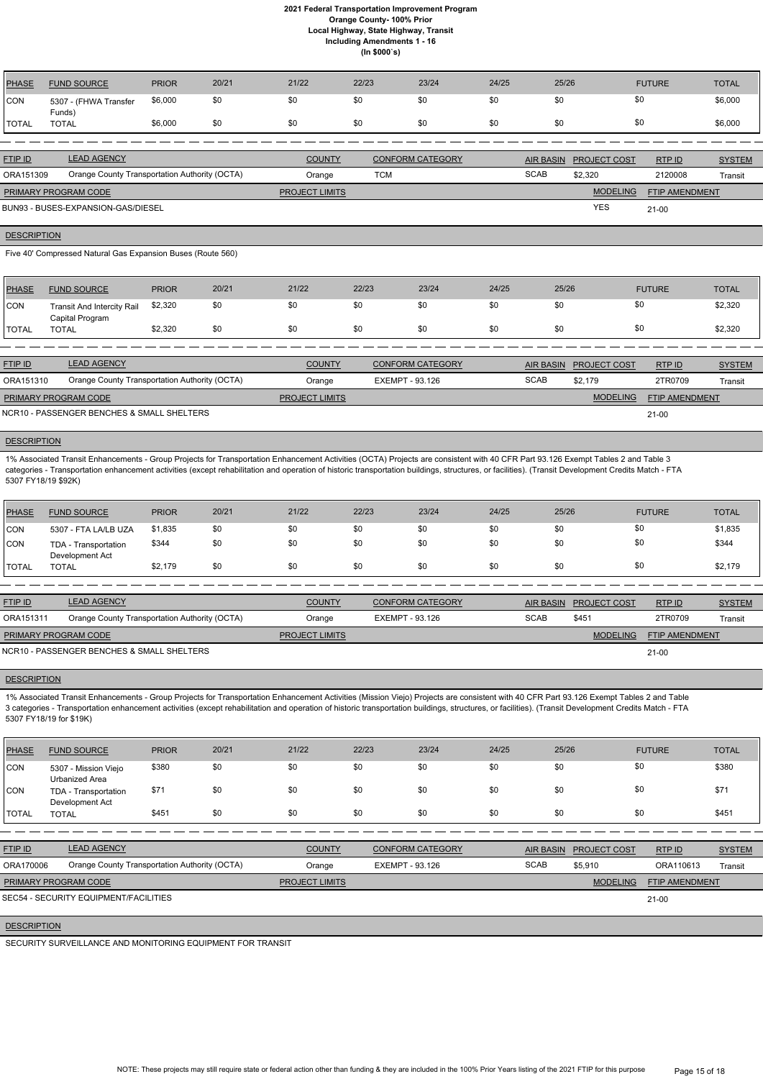| <b>PHASE</b> | <b>FUND SOURCE</b>              | <b>PRIOR</b> | 20/21 | 21/22 | 22/23 | 23/24 | 24/25 | 25/26 | <b>FUTURE</b> | <b>TOTAL</b> |
|--------------|---------------------------------|--------------|-------|-------|-------|-------|-------|-------|---------------|--------------|
| CON          | 5307 - (FHWA Transfer<br>Funds) | \$6,000      | \$0   | \$0   | \$0   | \$0   | \$0   | \$0   | \$0           | \$6,000      |
| <b>TOTAL</b> | <b>TOTAL</b>                    | \$6,000      | \$0   | \$0   | \$0   | - \$0 | \$0   | \$0   | \$0           | \$6,000      |
|              |                                 |              |       |       |       |       |       |       |               |              |

| <b>FTIP ID</b>              | <b>LEAD AGENCY</b>                            | <b>COUNTY</b>         | <b>CONFORM CATEGORY</b> | AIR BASIN   | <b>PROJECT COST</b> | RTP ID                | <b>SYSTEM</b> |
|-----------------------------|-----------------------------------------------|-----------------------|-------------------------|-------------|---------------------|-----------------------|---------------|
| ORA151309                   | Orange County Transportation Authority (OCTA) | Orange                | тсм                     | <b>SCAB</b> | \$2,320             | 2120008               | Transit       |
| <b>PRIMARY PROGRAM CODE</b> |                                               | <b>PROJECT LIMITS</b> |                         |             | <b>MODELING</b>     | <b>FTIP AMENDMENT</b> |               |
|                             | BUN93 - BUSES-EXPANSION-GAS/DIESEL            |                       |                         |             | <b>YES</b>          | $21-00$               |               |

#### **DESCRIPTION**

Five 40' Compressed Natural Gas Expansion Buses (Route 560)

| PHASE         | <b>FUND SOURCE</b>                                   | <b>PRIOR</b> | 20/21 | 21/22 | 22/23 | 23/24 | 24/25 | 25/26 | <b>FUTURE</b> | <b>TOTAL</b> |
|---------------|------------------------------------------------------|--------------|-------|-------|-------|-------|-------|-------|---------------|--------------|
| <b>ICON</b>   | <b>Transit And Intercity Rail</b><br>Capital Program | \$2,320      | \$0   | \$0   | \$0   | \$0   | \$0   | \$0   | \$0           | \$2,320      |
| <b>ITOTAL</b> | <b>TOTAL</b>                                         | \$2,320      | \$0   | \$0   | \$0   | \$0   | \$0   | \$0   | \$0           | \$2,320      |

| <b>FTIP ID</b>              | <b>LEAD AGENCY</b>                            | <b>COUNTY</b>         | <b>CONFORM CATEGORY</b> | <b>AIR BASIN</b> | <b>PROJECT COST</b> | RTPID                 | <b>SYSTEM</b> |
|-----------------------------|-----------------------------------------------|-----------------------|-------------------------|------------------|---------------------|-----------------------|---------------|
| ORA151310                   | Orange County Transportation Authority (OCTA) | Orange                | EXEMPT - 93.126         | <b>SCAB</b>      | \$2.179             | 2TR0709               | Transit       |
| <b>PRIMARY PROGRAM CODE</b> |                                               | <b>PROJECT LIMITS</b> |                         |                  | <b>MODELING</b>     | <b>FTIP AMENDMENT</b> |               |
|                             | NCR10 - PASSENGER BENCHES & SMALL SHELTERS    |                       |                         |                  |                     | $21-00$               |               |

# **DESCRIPTION**

1% Associated Transit Enhancements - Group Projects for Transportation Enhancement Activities (OCTA) Projects are consistent with 40 CFR Part 93.126 Exempt Tables 2 and Table 3 categories - Transportation enhancement activities (except rehabilitation and operation of historic transportation buildings, structures, or facilities). (Transit Development Credits Match - FTA 5307 FY18/19 \$92K)

| <b>PHASE</b> | <b>FUND SOURCE</b>                      | <b>PRIOR</b> | 20/21 | 21/22 | 22/23 | 23/24 | 24/25 | 25/26 | <b>FUTURE</b> | <b>TOTAL</b> |
|--------------|-----------------------------------------|--------------|-------|-------|-------|-------|-------|-------|---------------|--------------|
| <b>CON</b>   | 5307 - FTA LA/LB UZA                    | \$1,835      | \$0   | \$0   | \$0   | \$0   | \$0   | \$0   | \$0           | \$1,835      |
| <b>CON</b>   | TDA - Transportation<br>Development Act | \$344        | \$0   | \$0   | \$0   | \$0   | \$0   | \$0   | \$0           | \$344        |
| <b>TOTAL</b> | <b>TOTAL</b>                            | \$2,179      | \$0   | \$0   | \$0   | \$0   | \$0   | \$0   | \$0           | \$2,179      |

| <b>FTIP ID</b>              | <b>LEAD AGENCY</b>                            | <b>COUNTY</b>         | <b>CONFORM CATEGORY</b> | AIR BASIN   | <b>PROJECT COST</b> | RTP ID                | <b>SYSTEM</b> |
|-----------------------------|-----------------------------------------------|-----------------------|-------------------------|-------------|---------------------|-----------------------|---------------|
| ORA151311                   | Orange County Transportation Authority (OCTA) | Orange                | EXEMPT - 93.126         | <b>SCAB</b> | \$451               | 2TR0709               | Transit       |
| <b>PRIMARY PROGRAM CODE</b> |                                               | <b>PROJECT LIMITS</b> |                         |             | <b>MODELING</b>     | <b>FTIP AMENDMENT</b> |               |
|                             | NCR10 - PASSENGER BENCHES & SMALL SHELTERS    |                       |                         |             |                     | $21 - 00$             |               |

#### **DESCRIPTION**

1% Associated Transit Enhancements - Group Projects for Transportation Enhancement Activities (Mission Viejo) Projects are consistent with 40 CFR Part 93.126 Exempt Tables 2 and Table 3 categories - Transportation enhancement activities (except rehabilitation and operation of historic transportation buildings, structures, or facilities). (Transit Development Credits Match - FTA 5307 FY18/19 for \$19K)

| <b>PHASE</b> | <b>FUND SOURCE</b>                            | <b>PRIOR</b> | 20/21 | 21/22                 | 22/23                  | 23/24                   | 24/25       | 25/26                  |                 | <b>FUTURE</b>         | <b>TOTAL</b>  |
|--------------|-----------------------------------------------|--------------|-------|-----------------------|------------------------|-------------------------|-------------|------------------------|-----------------|-----------------------|---------------|
| CON          | 5307 - Mission Viejo<br>Urbanized Area        | \$380        | \$0   | \$0                   | \$0                    | \$0                     | \$0         | \$0                    | \$0             |                       | \$380         |
| CON          | TDA - Transportation<br>Development Act       | \$71         | \$0   | \$0                   | \$0                    | \$0                     | \$0         | \$0                    | \$0             |                       | \$71          |
| <b>TOTAL</b> | <b>TOTAL</b>                                  | \$451        | \$0   | \$0                   | \$0                    | \$0                     | \$0         | \$0                    | \$0             |                       | \$451         |
|              |                                               |              |       |                       |                        |                         |             |                        |                 |                       |               |
| FTIP ID      | <b>LEAD AGENCY</b>                            |              |       | <b>COUNTY</b>         |                        | <b>CONFORM CATEGORY</b> |             | AIR BASIN PROJECT COST |                 | RTP ID                | <b>SYSTEM</b> |
| ORA170006    | Orange County Transportation Authority (OCTA) |              |       | Orange                | <b>EXEMPT - 93.126</b> |                         | <b>SCAB</b> | \$5,910                |                 | ORA110613             | Transit       |
|              | PRIMARY PROGRAM CODE                          |              |       | <b>PROJECT LIMITS</b> |                        |                         |             |                        | <b>MODELING</b> | <b>FTIP AMENDMENT</b> |               |
|              | SEC54 - SECURITY EQUIPMENT/FACILITIES         |              |       |                       |                        |                         |             |                        |                 | $21 - 00$             |               |
|              |                                               |              |       |                       |                        |                         |             |                        |                 |                       |               |

# **DESCRIPTION**

SECURITY SURVEILLANCE AND MONITORING EQUIPMENT FOR TRANSIT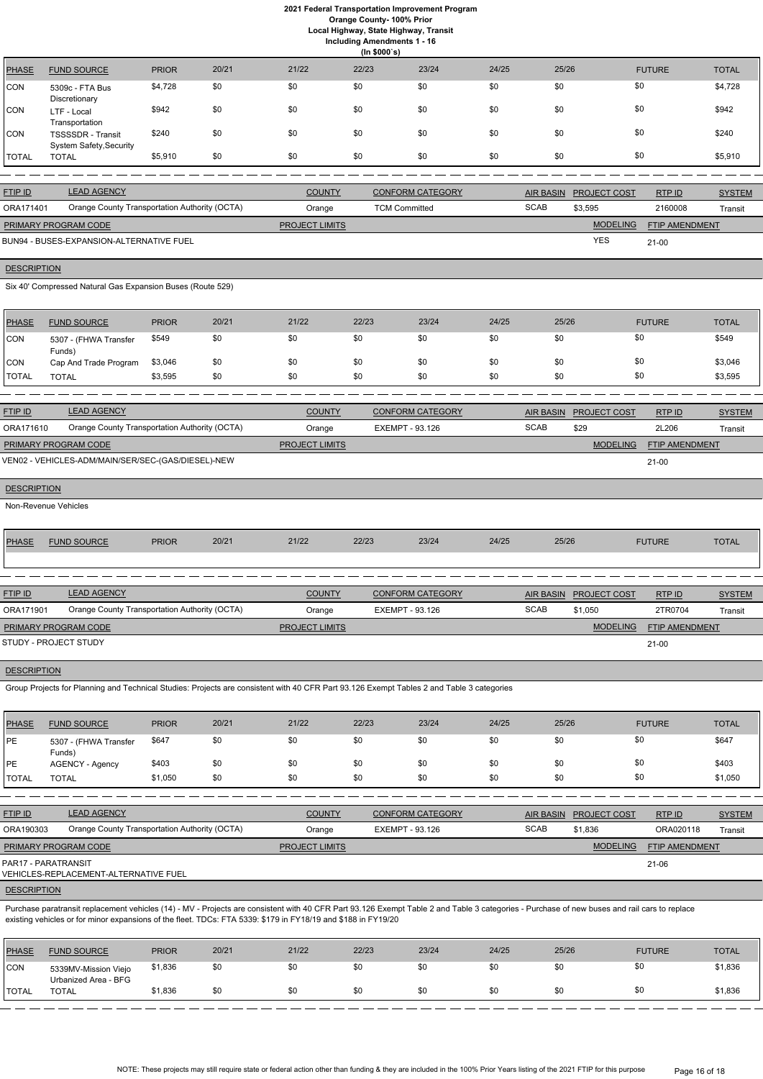**Local Highway, State Highway, Transit**

| Including Amendments 1 - 16 |  |  |
|-----------------------------|--|--|
| (ln \$000's)                |  |  |

|              |                                                            |              |       |       | (11.40003) |       |       |       |               |              |
|--------------|------------------------------------------------------------|--------------|-------|-------|------------|-------|-------|-------|---------------|--------------|
| <b>PHASE</b> | <b>FUND SOURCE</b>                                         | <b>PRIOR</b> | 20/21 | 21/22 | 22/23      | 23/24 | 24/25 | 25/26 | <b>FUTURE</b> | <b>TOTAL</b> |
| <b>CON</b>   | 5309c - FTA Bus<br>Discretionary                           | \$4,728      | \$0   | \$0   | \$0        | \$0   | \$0   | \$0   | \$0           | \$4,728      |
| <b>CON</b>   | LTF - Local<br>Transportation                              | \$942        | \$0   | \$0   | \$0        | \$0   | \$0   | \$0   | \$0           | \$942        |
| <b>CON</b>   | <b>TSSSSDR</b> - Transit<br><b>System Safety, Security</b> | \$240        | \$0   | \$0   | \$0        | \$0   | \$0   | \$0   | \$0           | \$240        |
| <b>TOTAL</b> | <b>TOTAL</b>                                               | \$5,910      | \$0   | \$0   | \$0        | \$0   | \$0   | \$0   | \$0           | \$5,910      |

| <b>FTIP ID</b>              | <b>LEAD AGENCY</b>                            | <b>COUNTY</b>         | <b>CONFORM CATEGORY</b> |             | AIR BASIN PROJECT COST | RTP ID                | <b>SYSTEM</b> |
|-----------------------------|-----------------------------------------------|-----------------------|-------------------------|-------------|------------------------|-----------------------|---------------|
| ORA171401                   | Orange County Transportation Authority (OCTA) | Orange                | <b>TCM Committed</b>    | <b>SCAB</b> | \$3,595                | 2160008               | Transit       |
| <b>PRIMARY PROGRAM CODE</b> |                                               | <b>PROJECT LIMITS</b> |                         |             | <b>MODELING</b>        | <b>FTIP AMENDMENT</b> |               |
|                             | BUN94 - BUSES-EXPANSION-ALTERNATIVE FUEL      |                       |                         |             | <b>YES</b>             | $21-00$               |               |

# **DESCRIPTION**

Six 40' Compressed Natural Gas Expansion Buses (Route 529)

| PHASE        | <b>FUND SOURCE</b>              | <b>PRIOR</b> | 20/21 | 21/22 | 22/23 | 23/24 | 24/25 | 25/26 | <b>FUTURE</b> | <b>TOTAL</b> |
|--------------|---------------------------------|--------------|-------|-------|-------|-------|-------|-------|---------------|--------------|
| <b>CON</b>   | 5307 - (FHWA Transfer<br>Funds) | \$549        | \$0   | \$0   | \$0   | \$0   | \$0   | \$0   | \$0           | \$549        |
| CON          | Cap And Trade Program           | \$3,046      | \$0   | \$0   | \$0   | \$0   | \$0   | \$0   | \$0           | \$3,046      |
| <b>TOTAL</b> | <b>TOTAL</b>                    | \$3,595      | \$0   | \$0   | \$0   | \$0   | \$0   | \$0   | \$0           | \$3,595      |

| <b>FTIP ID</b>              | <b>LEAD AGENCY</b>                                 | <b>COUNTY</b>         | <b>CONFORM CATEGORY</b> | <b>AIR BASIN</b> | <b>PROJECT COST</b> | RTPID                 | <b>SYSTEM</b> |
|-----------------------------|----------------------------------------------------|-----------------------|-------------------------|------------------|---------------------|-----------------------|---------------|
| ORA171610                   | Orange County Transportation Authority (OCTA)      | Orange                | EXEMPT - 93.126         | <b>SCAB</b>      | \$29                | 2L206                 | Transit       |
| <b>PRIMARY PROGRAM CODE</b> |                                                    | <b>PROJECT LIMITS</b> |                         |                  | <b>MODELING</b>     | <b>FTIP AMENDMENT</b> |               |
|                             | VEN02 - VEHICLES-ADM/MAIN/SER/SEC-(GAS/DIESEL)-NEW |                       |                         |                  |                     | $21 - 00$             |               |
|                             |                                                    |                       |                         |                  |                     |                       |               |

| <b>DESCRIPTION</b> |                      |              |       |       |       |       |       |       |               |              |  |
|--------------------|----------------------|--------------|-------|-------|-------|-------|-------|-------|---------------|--------------|--|
|                    | Non-Revenue Vehicles |              |       |       |       |       |       |       |               |              |  |
|                    |                      |              |       |       |       |       |       |       |               |              |  |
| <b>PHASE</b>       | <b>FUND SOURCE</b>   | <b>PRIOR</b> | 20/21 | 21/22 | 22/23 | 23/24 | 24/25 | 25/26 | <b>FUTURE</b> | <b>TOTAL</b> |  |

| <b>FTIP ID</b>              | <b>LEAD AGENCY</b>                            | <b>COUNTY</b>         | <b>CONFORM CATEGORY</b> |             | AIR BASIN PROJECT COST | RTPID          | <b>SYSTEM</b> |
|-----------------------------|-----------------------------------------------|-----------------------|-------------------------|-------------|------------------------|----------------|---------------|
| ORA171901                   | Orange County Transportation Authority (OCTA) | Orange                | EXEMPT - 93.126         | <b>SCAB</b> | \$1,050                | 2TR0704        | Transit       |
| <b>PRIMARY PROGRAM CODE</b> |                                               | <b>PROJECT LIMITS</b> |                         |             | <b>MODELING</b>        | FTIP AMENDMENT |               |
| STUDY - PROJECT STUDY       |                                               |                       |                         |             |                        | 21-00          |               |

#### **DESCRIPTION**

Group Projects for Planning and Technical Studies: Projects are consistent with 40 CFR Part 93.126 Exempt Tables 2 and Table 3 categories

| PHASE        | <b>FUND SOURCE</b>              | <b>PRIOR</b> | 20/21 | 21/22 | 22/23 | 23/24 | 24/25 | 25/26 | <b>FUTURE</b> | <b>TOTAL</b> |
|--------------|---------------------------------|--------------|-------|-------|-------|-------|-------|-------|---------------|--------------|
| <b>IPE</b>   | 5307 - (FHWA Transfer<br>Funds) | \$647        | \$0   | \$0   | \$0   | \$0   | \$0   | \$0   | \$0           | \$647        |
| <b>IPE</b>   | <b>AGENCY - Agency</b>          | \$403        | \$0   | \$0   | \$0   | \$0   | \$0   | \$0   | \$0           | \$403        |
| <b>TOTAL</b> | <b>TOTAL</b>                    | \$1,050      | \$0   | \$0   | \$0   | \$0   | \$0   | \$0   | \$0           | \$1,050      |

| <b>FTIP ID</b>              | <b>LEAD AGENCY</b>                            | <b>COUNTY</b>         | <b>CONFORM CATEGORY</b> |             | AIR BASIN PROJECT COST | RTPID          | <b>SYSTEM</b> |
|-----------------------------|-----------------------------------------------|-----------------------|-------------------------|-------------|------------------------|----------------|---------------|
| ORA190303                   | Orange County Transportation Authority (OCTA) | Orange                | EXEMPT - 93.126         | <b>SCAB</b> | \$1.836                | ORA020118      | Transit       |
| <b>PRIMARY PROGRAM CODE</b> |                                               | <b>PROJECT LIMITS</b> |                         |             | <b>MODELING</b>        | FTIP AMENDMENT |               |
| PAR17 - PARATRANSIT         | VEHICLES-REPLACEMENT-ALTERNATIVE FUEL         |                       |                         |             |                        | 21-06          |               |
|                             |                                               |                       |                         |             |                        |                |               |

# **DESCRIPTION**

Purchase paratransit replacement vehicles (14) - MV - Projects are consistent with 40 CFR Part 93.126 Exempt Table 2 and Table 3 categories - Purchase of new buses and rail cars to replace existing vehicles or for minor expansions of the fleet. TDCs: FTA 5339: \$179 in FY18/19 and \$188 in FY19/20

| PHASE          | <b>FUND SOURCE</b>                           | <b>PRIOR</b> | 20/21 | 21/22 | 22/23 | 23/24 | 24/25 | 25/26 | <b>FUTURE</b> | <b>TOTAL</b> |
|----------------|----------------------------------------------|--------------|-------|-------|-------|-------|-------|-------|---------------|--------------|
| <b>CON</b>     | 5339MV-Mission Viejo<br>Urbanized Area - BFG | \$1,836      | \$0   | \$0   | \$0   | \$0   | \$0   |       |               | \$1,836      |
| <b>I</b> TOTAL | TOTAL                                        | \$1,836      | \$0   | \$0   | \$0   | \$0   | \$0   |       | \$0           | \$1,836      |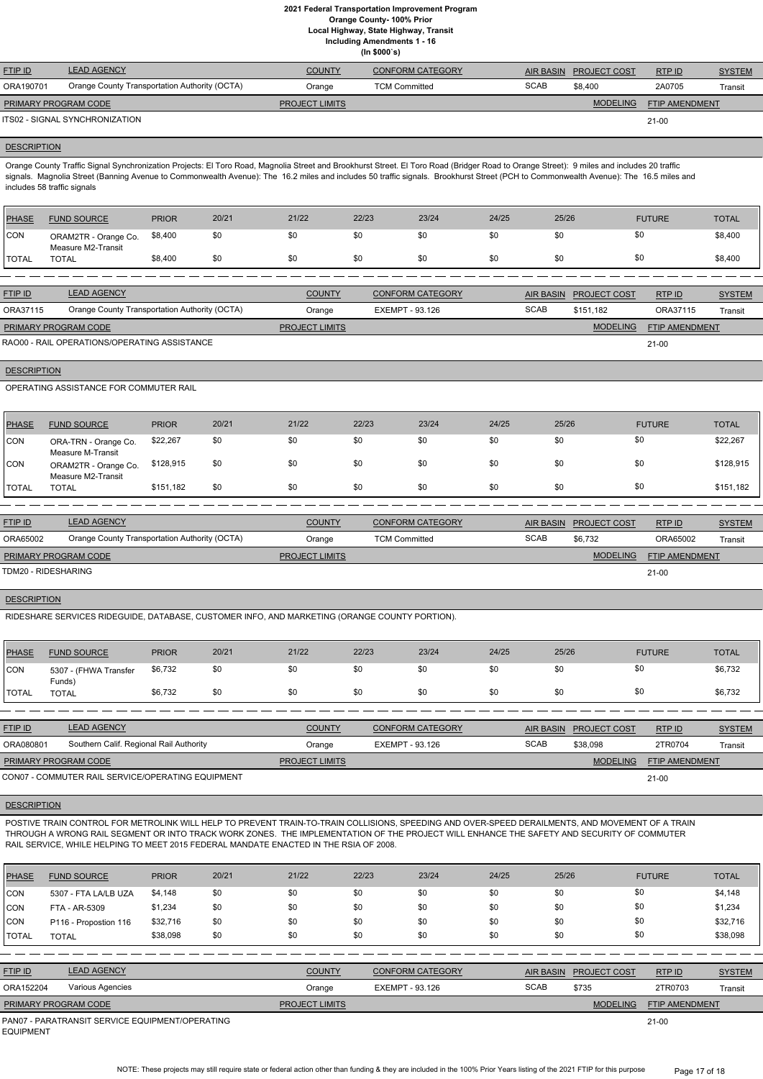**Local Highway, State Highway, Transit**

**Including Amendments 1 - 16**

**(In \$000`s)**

| <b>FTIP ID</b>       | <b>LEAD AGENCY</b>                            | <b>COUNTY</b>         | <b>CONFORM CATEGORY</b> | AIR BASIN   | <b>PROJECT COST</b> | RTP ID         | <b>SYSTEM</b> |
|----------------------|-----------------------------------------------|-----------------------|-------------------------|-------------|---------------------|----------------|---------------|
| ORA190701            | Orange County Transportation Authority (OCTA) | Orange                | <b>TCM Committed</b>    | <b>SCAB</b> | \$8.400             | 2A0705         | Transit       |
| PRIMARY PROGRAM CODE |                                               | <b>PROJECT LIMITS</b> |                         |             | <b>MODELING</b>     | FTIP AMENDMENT |               |
|                      | ITS02 - SIGNAL SYNCHRONIZATION                |                       |                         |             |                     | 21-00          |               |
|                      |                                               |                       |                         |             |                     |                |               |

#### **DESCRIPTION**

Orange County Traffic Signal Synchronization Projects: El Toro Road, Magnolia Street and Brookhurst Street. El Toro Road (Bridger Road to Orange Street): 9 miles and includes 20 traffic signals. Magnolia Street (Banning Avenue to Commonwealth Avenue): The 16.2 miles and includes 50 traffic signals. Brookhurst Street (PCH to Commonwealth Avenue): The 16.5 miles and includes 58 traffic signals

| PHASE        | <b>FUND SOURCE</b>                         | <b>PRIOR</b> | 20/21 | 21/22 | 22/23 | 23/24 | 24/25 | 25/26 | <b>FUTURE</b> | <b>TOTAL</b> |
|--------------|--------------------------------------------|--------------|-------|-------|-------|-------|-------|-------|---------------|--------------|
| <b>CON</b>   | ORAM2TR - Orange Co.<br>Measure M2-Transit | \$8,400      | \$0   | \$0   |       | \$0   | \$0   | \$0   | \$C           | \$8,400      |
| <b>TOTAL</b> | <b>TOTAL</b>                               | \$8,400      | \$0   | \$0   |       | \$0   | \$0   | \$0   | \$C           | \$8,400      |

| <b>FTIP ID</b>       | <b>LEAD AGENCY</b>                            | <b>COUNTY</b>         | <b>CONFORM CATEGORY</b> | AIR BASIN   | <b>PROJECT COST</b> | RTP ID                | <b>SYSTEM</b> |
|----------------------|-----------------------------------------------|-----------------------|-------------------------|-------------|---------------------|-----------------------|---------------|
| ORA37115             | Orange County Transportation Authority (OCTA) | Orange                | EXEMPT - 93.126         | <b>SCAB</b> | \$151.182           | ORA37115              | Transit       |
| PRIMARY PROGRAM CODE |                                               | <b>PROJECT LIMITS</b> |                         |             | <b>MODELING</b>     | <b>FTIP AMENDMENT</b> |               |
|                      | RAO00 - RAIL OPERATIONS/OPERATING ASSISTANCE  |                       |                         |             |                     | $21-00$               |               |

# **DESCRIPTION**

OPERATING ASSISTANCE FOR COMMUTER RAIL

| PHASE          | <b>FUND SOURCE</b>                         | <b>PRIOR</b> | 20/21 | 21/22 | 22/23 | 23/24 | 24/25 | 25/26 | <b>FUTURE</b> | <b>TOTAL</b> |
|----------------|--------------------------------------------|--------------|-------|-------|-------|-------|-------|-------|---------------|--------------|
| CON            | ORA-TRN - Orange Co.<br>Measure M-Transit  | \$22,267     | \$0   | \$0   | \$0   | \$0   | \$0   | \$0   | \$0           | \$22,267     |
| CON            | ORAM2TR - Orange Co.<br>Measure M2-Transit | \$128,915    | \$0   | \$0   | \$0   | \$0   | \$0   | \$0   | \$0           | \$128,915    |
| <b>!</b> TOTAL | <b>TOTAL</b>                               | \$151,182    | \$0   | \$0   | \$0   | \$0   | \$0   | \$0   | \$0           | \$151,182    |

| <b>FTIP ID</b>              | <b>LEAD AGENCY</b>                            | <b>COUNTY</b>         | <b>CONFORM CATEGORY</b> | AIR BASIN   | <b>PROJECT COST</b> | RTPID                 | <b>SYSTEM</b> |
|-----------------------------|-----------------------------------------------|-----------------------|-------------------------|-------------|---------------------|-----------------------|---------------|
| ORA65002                    | Orange County Transportation Authority (OCTA) | Orange                | <b>TCM Committed</b>    | <b>SCAB</b> | \$6,732             | ORA65002              | Transit       |
| <b>PRIMARY PROGRAM CODE</b> |                                               | <b>PROJECT LIMITS</b> |                         |             | <b>MODELING</b>     | <b>FTIP AMENDMENT</b> |               |
| TDM20 - RIDESHARING         |                                               |                       |                         |             |                     | $21 - 00$             |               |

# **DESCRIPTION**

NOTE: These projects may still require state or federal action other than funding & they are included in the 100% Prior Years listing of the 2021 FTIP for this purpose Page 17 of 18

RIDESHARE SERVICES RIDEGUIDE, DATABASE, CUSTOMER INFO, AND MARKETING (ORANGE COUNTY PORTION).

| PHASE | <b>FUND SOURCE</b>              | <b>PRIOR</b> | 20/21 | 21/22 | 22/23 | 23/24 | 24/25 | 25/26 | <b>FUTURE</b> | <b>TOTAL</b> |
|-------|---------------------------------|--------------|-------|-------|-------|-------|-------|-------|---------------|--------------|
| CON   | 5307 - (FHWA Transfer<br>Funds) | \$6,732      | \$0   | \$0   | \$0   | \$0   | \$0   | \$0   |               | \$6,732      |
| TOTAL | <b>TOTAL</b>                    | \$6,732      | \$0   | \$0   | \$0   | \$0   | \$0   | \$0   | \$0           | \$6,732      |

| <b>FTIP ID</b>              | <b>LEAD AGENCY</b>                                | <b>COUNTY</b>         | <b>CONFORM CATEGORY</b> |             | AIR BASIN PROJECT COST | RTPID                 | <b>SYSTEM</b> |
|-----------------------------|---------------------------------------------------|-----------------------|-------------------------|-------------|------------------------|-----------------------|---------------|
| ORA080801                   | Southern Calif. Regional Rail Authority           | Orange                | EXEMPT - 93.126         | <b>SCAB</b> | \$38.098               | 2TR0704               | Transit       |
| <b>PRIMARY PROGRAM CODE</b> |                                                   | <b>PROJECT LIMITS</b> |                         |             | <b>MODELING</b>        | <b>FTIP AMENDMENT</b> |               |
|                             | CON07 - COMMUTER RAIL SERVICE/OPERATING EQUIPMENT |                       |                         |             |                        | 21-00                 |               |

POSTIVE TRAIN CONTROL FOR METROLINK WILL HELP TO PREVENT TRAIN-TO-TRAIN COLLISIONS, SPEEDING AND OVER-SPEED DERAILMENTS, AND MOVEMENT OF A TRAIN THROUGH A WRONG RAIL SEGMENT OR INTO TRACK WORK ZONES. THE IMPLEMENTATION OF THE PROJECT WILL ENHANCE THE SAFETY AND SECURITY OF COMMUTER RAIL SERVICE, WHILE HELPING TO MEET 2015 FEDERAL MANDATE ENACTED IN THE RSIA OF 2008.

| <b>PHASE</b>   | <b>FUND SOURCE</b>                              | <b>PRIOR</b> | 20/21 | 21/22                 | 22/23           | 23/24                   | 24/25 | 25/26            |                     | <b>FUTURE</b>         | <b>TOTAL</b>  |
|----------------|-------------------------------------------------|--------------|-------|-----------------------|-----------------|-------------------------|-------|------------------|---------------------|-----------------------|---------------|
| ICON           | 5307 - FTA LA/LB UZA                            | \$4,148      | \$0   | \$0                   | \$0             | \$0                     | \$0   | \$0              | \$0                 |                       | \$4,148       |
| CON            | FTA - AR-5309                                   | \$1,234      | \$0   | \$0                   | \$0             | \$0                     | \$0   | \$0              | \$0                 |                       | \$1,234       |
| CON            | P116 - Propostion 116                           | \$32,716     | \$0   | \$0                   | \$0             | \$0                     | \$0   | \$0              | \$0                 |                       | \$32,716      |
| TOTAL          | <b>TOTAL</b>                                    | \$38,098     | \$0   | \$0                   | \$0             | \$0                     | \$0   | \$0              | \$0                 |                       | \$38,098      |
|                |                                                 |              |       |                       |                 |                         |       |                  |                     |                       |               |
| <b>FTIP ID</b> | <b>LEAD AGENCY</b>                              |              |       | <b>COUNTY</b>         |                 | <b>CONFORM CATEGORY</b> |       | <b>AIR BASIN</b> | <b>PROJECT COST</b> | RTPID                 | <b>SYSTEM</b> |
| ORA152204      | Various Agencies                                |              |       | Orange                | EXEMPT - 93.126 |                         |       | <b>SCAB</b>      | \$735               | 2TR0703               | Transit       |
|                | PRIMARY PROGRAM CODE                            |              |       | <b>PROJECT LIMITS</b> |                 |                         |       |                  | <b>MODELING</b>     | <b>FTIP AMENDMENT</b> |               |
|                | PAN07 - PARATRANSIT SERVICE EQUIPMENT/OPERATING |              |       |                       |                 |                         |       |                  |                     | $21 - 00$             |               |

EQUIPMENT